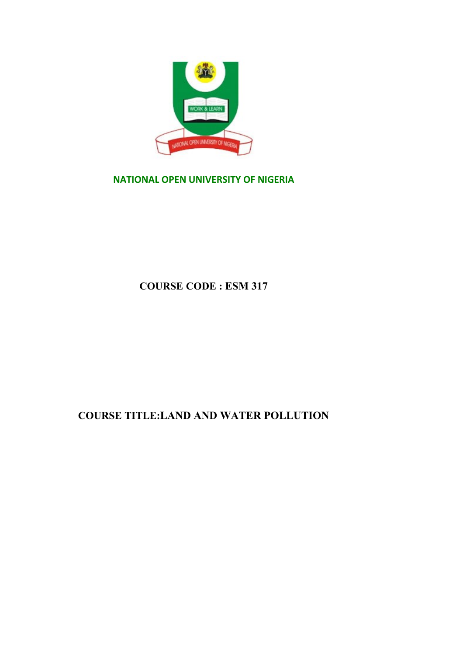

**NATIONAL OPEN UNIVERSITY OF NIGERIA**

**COURSE CODE : ESM 317**

# **COURSE TITLE:LAND AND WATER POLLUTION**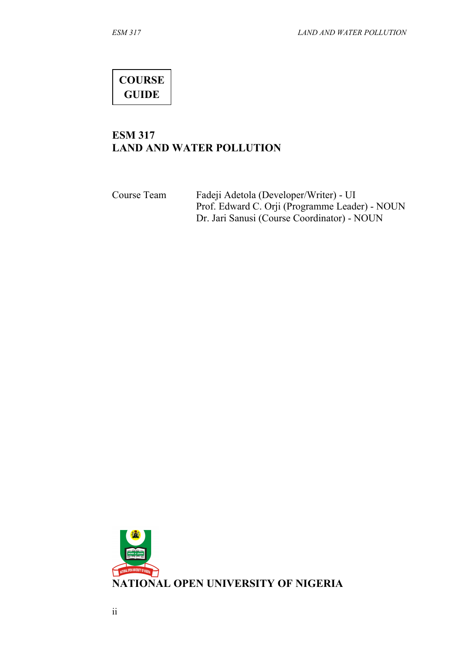**COURSE GUIDE**

# **ESM 317 LAND AND WATER POLLUTION**

| Course Team | Fadeji Adetola (Developer/Writer) - UI         |
|-------------|------------------------------------------------|
|             | Prof. Edward C. Orji (Programme Leader) - NOUN |
|             | Dr. Jari Sanusi (Course Coordinator) - NOUN    |

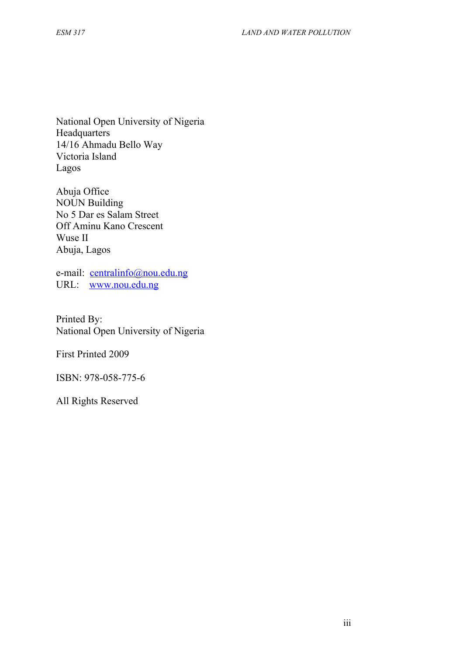National Open University of Nigeria **Headquarters** 14/16 Ahmadu Bello Way Victoria Island Lagos

Abuja Office NOUN Building No 5 Dar es Salam Street Off Aminu Kano Crescent Wuse II Abuja, Lagos

e-mail: [centralinfo@nou.edu.ng](mailto:centralinfo@nou.edu.ng) URL: [www.nou.edu.ng](http://www.nou.edu.ng/)

Printed By: National Open University of Nigeria

First Printed 2009

ISBN: 978-058-775-6

All Rights Reserved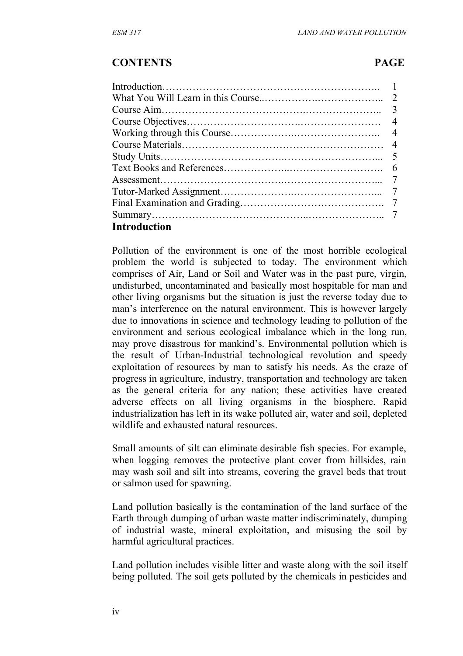### **CONTENTS PAGE**

|                     | 3              |
|---------------------|----------------|
|                     | $\overline{4}$ |
|                     | $\overline{4}$ |
|                     |                |
|                     |                |
|                     | 6              |
|                     |                |
|                     |                |
|                     |                |
|                     |                |
| <b>Introduction</b> |                |

Pollution of the environment is one of the most horrible ecological problem the world is subjected to today. The environment which comprises of Air, Land or Soil and Water was in the past pure, virgin, undisturbed, uncontaminated and basically most hospitable for man and other living organisms but the situation is just the reverse today due to man's interference on the natural environment. This is however largely due to innovations in science and technology leading to pollution of the environment and serious ecological imbalance which in the long run, may prove disastrous for mankind's. Environmental pollution which is the result of Urban-Industrial technological revolution and speedy exploitation of resources by man to satisfy his needs. As the craze of progress in agriculture, industry, transportation and technology are taken as the general criteria for any nation; these activities have created adverse effects on all living organisms in the biosphere. Rapid industrialization has left in its wake polluted air, water and soil, depleted wildlife and exhausted natural resources.

Small amounts of silt can eliminate desirable fish species. For example, when logging removes the protective plant cover from hillsides, rain may wash soil and silt into streams, covering the gravel beds that trout or salmon used for spawning.

Land pollution basically is the contamination of the land surface of the Earth through dumping of urban waste matter indiscriminately, dumping of industrial waste, mineral exploitation, and misusing the soil by harmful agricultural practices.

Land pollution includes visible litter and waste along with the soil itself being polluted. The soil gets polluted by the chemicals in pesticides and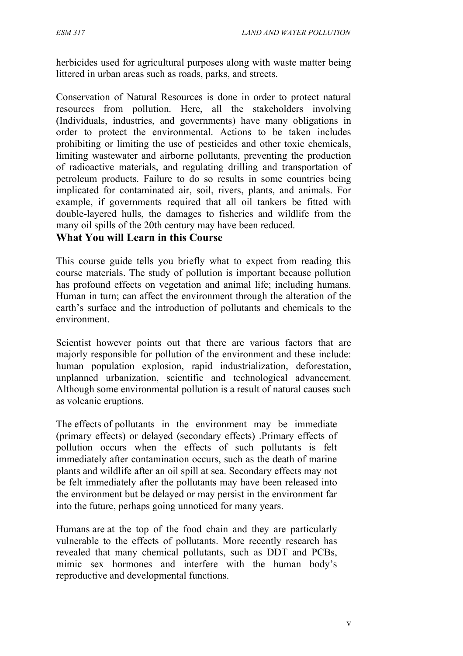herbicides used for agricultural purposes along with waste matter being littered in urban areas such as roads, parks, and streets.

Conservation of Natural Resources is done in order to protect natural resources from pollution. Here, all the stakeholders involving (Individuals, industries, and governments) have many obligations in order to protect the environmental. Actions to be taken includes prohibiting or limiting the use of pesticides and other toxic chemicals, limiting wastewater and airborne pollutants, preventing the production of radioactive materials, and regulating drilling and transportation of petroleum products. Failure to do so results in some countries being implicated for contaminated air, soil, rivers, plants, and animals. For example, if governments required that all oil tankers be fitted with double-layered hulls, the damages to fisheries and wildlife from the many oil spills of the 20th century may have been reduced.

## **What You will Learn in this Course**

This course guide tells you briefly what to expect from reading this course materials. The study of pollution is important because pollution has profound effects on vegetation and animal life; including humans. Human in turn; can affect the environment through the alteration of the earth's surface and the introduction of pollutants and chemicals to the environment.

Scientist however points out that there are various factors that are majorly responsible for pollution of the environment and these include: human population explosion, rapid industrialization, deforestation, unplanned urbanization, scientific and technological advancement. Although some environmental pollution is a result of natural causes such as volcanic eruptions.

The effects of pollutants in the environment may be immediate (primary effects) or delayed (secondary effects) .Primary effects of pollution occurs when the effects of such pollutants is felt immediately after contamination occurs, such as the death of marine plants and wildlife after an oil spill at sea. Secondary effects may not be felt immediately after the pollutants may have been released into the environment but be delayed or may persist in the environment far into the future, perhaps going unnoticed for many years.

Humans are at the top of the food chain and they are particularly vulnerable to the effects of pollutants. More recently research has revealed that many chemical pollutants, such as DDT and PCBs, mimic sex hormones and interfere with the human body's reproductive and developmental functions.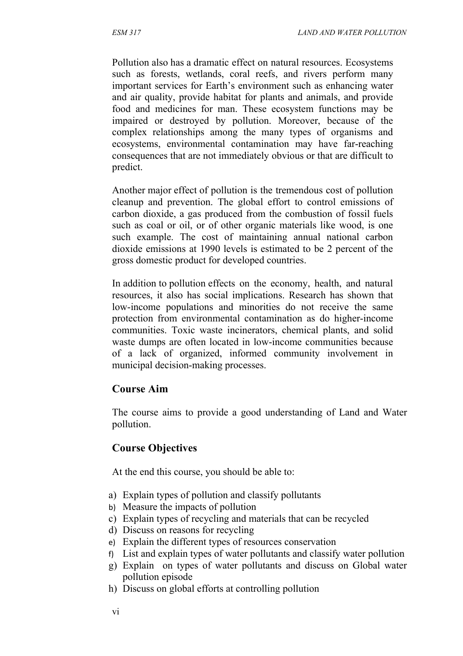Pollution also has a dramatic effect on natural resources. Ecosystems such as forests, wetlands, coral reefs, and rivers perform many important services for Earth's environment such as enhancing water and air quality, provide habitat for plants and animals, and provide food and medicines for man. These ecosystem functions may be impaired or destroyed by pollution. Moreover, because of the complex relationships among the many types of organisms and ecosystems, environmental contamination may have far-reaching consequences that are not immediately obvious or that are difficult to predict.

Another major effect of pollution is the tremendous cost of pollution cleanup and prevention. The global effort to control emissions of carbon dioxide, a gas produced from the combustion of fossil fuels such as coal or oil, or of other organic materials like wood, is one such example. The cost of maintaining annual national carbon dioxide emissions at 1990 levels is estimated to be 2 percent of the gross domestic product for developed countries.

In addition to pollution effects on the economy, health, and natural resources, it also has social implications. Research has shown that low-income populations and minorities do not receive the same protection from environmental contamination as do higher-income communities. Toxic waste incinerators, chemical plants, and solid waste dumps are often located in low-income communities because of a lack of organized, informed community involvement in municipal decision-making processes.

# **Course Aim**

The course aims to provide a good understanding of Land and Water pollution.

# **Course Objectives**

At the end this course, you should be able to:

- a) Explain types of pollution and classify pollutants
- b) Measure the impacts of pollution
- c) Explain types of recycling and materials that can be recycled
- d) Discuss on reasons for recycling
- e) Explain the different types of resources conservation
- f) List and explain types of water pollutants and classify water pollution
- g) Explain on types of water pollutants and discuss on Global water pollution episode
- h) Discuss on global efforts at controlling pollution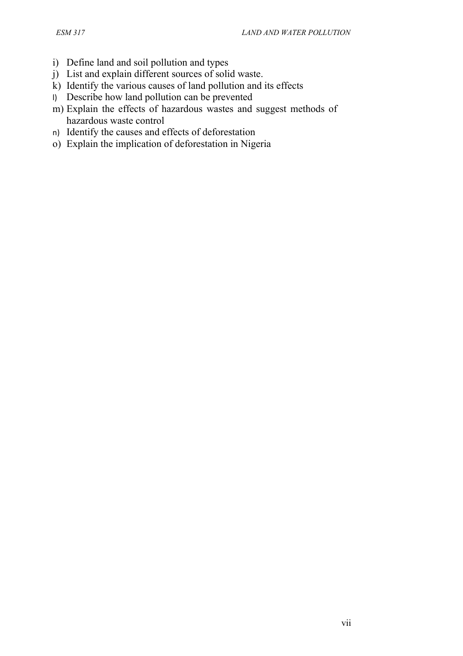- i) Define land and soil pollution and types
- j) List and explain different sources of solid waste.
- k) Identify the various causes of land pollution and its effects
- l) Describe how land pollution can be prevented
- m) Explain the effects of hazardous wastes and suggest methods of hazardous waste control
- n) Identify the causes and effects of deforestation
- o) Explain the implication of deforestation in Nigeria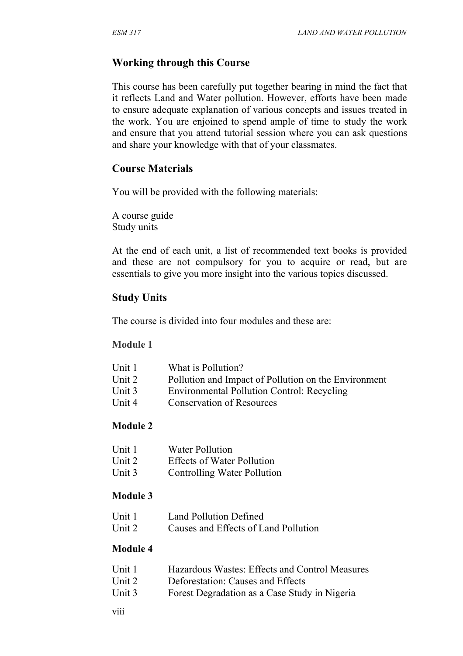## **Working through this Course**

This course has been carefully put together bearing in mind the fact that it reflects Land and Water pollution. However, efforts have been made to ensure adequate explanation of various concepts and issues treated in the work. You are enjoined to spend ample of time to study the work and ensure that you attend tutorial session where you can ask questions and share your knowledge with that of your classmates.

#### **Course Materials**

You will be provided with the following materials:

A course guide Study units

At the end of each unit, a list of recommended text books is provided and these are not compulsory for you to acquire or read, but are essentials to give you more insight into the various topics discussed.

#### **Study Units**

The course is divided into four modules and these are:

#### **Module 1**

| Unit 1 | What is Pollution?                                   |
|--------|------------------------------------------------------|
| Unit 2 | Pollution and Impact of Pollution on the Environment |
| Unit 3 | <b>Environmental Pollution Control: Recycling</b>    |
| Unit 4 | <b>Conservation of Resources</b>                     |

#### **Module 2**

| Unit 1     | <b>Water Pollution</b>            |
|------------|-----------------------------------|
| Unit 2     | <b>Effects of Water Pollution</b> |
| $I \sim 1$ | Controlling Weter Dollutic        |

Unit 3 Controlling Water Pollution

#### **Module 3**

- Unit 1 Land Pollution Defined
- Unit 2 Causes and Effects of Land Pollution

#### **Module 4**

| Unit 1                                                                                                                                                                                                                                                                                                                                                                               | Hazardous Wastes: Effects and Control Measures |
|--------------------------------------------------------------------------------------------------------------------------------------------------------------------------------------------------------------------------------------------------------------------------------------------------------------------------------------------------------------------------------------|------------------------------------------------|
| $\overline{1}$ $\overline{1}$ $\overline{2}$ $\overline{1}$ $\overline{2}$ $\overline{1}$ $\overline{2}$ $\overline{1}$ $\overline{2}$ $\overline{1}$ $\overline{2}$ $\overline{2}$ $\overline{1}$ $\overline{2}$ $\overline{2}$ $\overline{1}$ $\overline{2}$ $\overline{2}$ $\overline{1}$ $\overline{2}$ $\overline{2}$ $\overline{2}$ $\overline{2}$ $\overline{2}$ $\overline{$ | Deferentian: Causes and Effects                |

- Unit 2 Deforestation: Causes and Effects
- Unit 3 Forest Degradation as a Case Study in Nigeria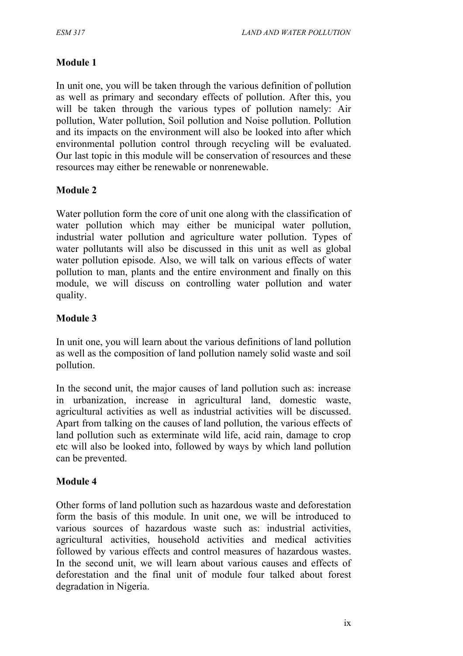# **Module 1**

In unit one, you will be taken through the various definition of pollution as well as primary and secondary effects of pollution. After this, you will be taken through the various types of pollution namely: Air pollution, Water pollution, Soil pollution and Noise pollution. Pollution and its impacts on the environment will also be looked into after which environmental pollution control through recycling will be evaluated. Our last topic in this module will be conservation of resources and these resources may either be renewable or nonrenewable.

## **Module 2**

Water pollution form the core of unit one along with the classification of water pollution which may either be municipal water pollution, industrial water pollution and agriculture water pollution. Types of water pollutants will also be discussed in this unit as well as global water pollution episode. Also, we will talk on various effects of water pollution to man, plants and the entire environment and finally on this module, we will discuss on controlling water pollution and water quality.

## **Module 3**

In unit one, you will learn about the various definitions of land pollution as well as the composition of land pollution namely solid waste and soil pollution.

In the second unit, the major causes of land pollution such as: increase in urbanization, increase in agricultural land, domestic waste, agricultural activities as well as industrial activities will be discussed. Apart from talking on the causes of land pollution, the various effects of land pollution such as exterminate wild life, acid rain, damage to crop etc will also be looked into, followed by ways by which land pollution can be prevented.

#### **Module 4**

Other forms of land pollution such as hazardous waste and deforestation form the basis of this module. In unit one, we will be introduced to various sources of hazardous waste such as: industrial activities, agricultural activities, household activities and medical activities followed by various effects and control measures of hazardous wastes. In the second unit, we will learn about various causes and effects of deforestation and the final unit of module four talked about forest degradation in Nigeria.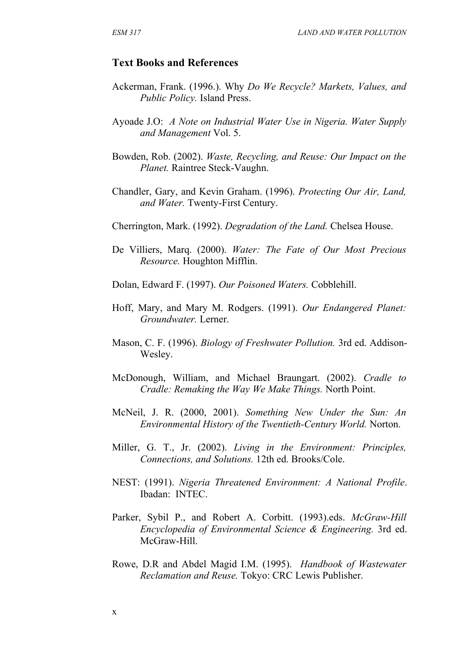#### **Text Books and References**

- Ackerman, Frank. (1996.). Why *Do We Recycle? Markets, Values, and Public Policy.* Island Press.
- Ayoade J.O: *A Note on Industrial Water Use in Nigeria. Water Supply and Management* Vol. 5.
- Bowden, Rob. (2002). *Waste, Recycling, and Reuse: Our Impact on the Planet.* Raintree Steck-Vaughn.
- Chandler, Gary, and Kevin Graham. (1996). *Protecting Our Air, Land, and Water.* Twenty-First Century.
- Cherrington, Mark. (1992). *Degradation of the Land.* Chelsea House.
- De Villiers, Marq. (2000). *Water: The Fate of Our Most Precious Resource.* Houghton Mifflin.
- Dolan, Edward F. (1997). *Our Poisoned Waters.* Cobblehill.
- Hoff, Mary, and Mary M. Rodgers. (1991). *Our Endangered Planet: Groundwater.* Lerner.
- Mason, C. F. (1996). *Biology of Freshwater Pollution.* 3rd ed. Addison-Wesley.
- McDonough, William, and Michael Braungart. (2002). *Cradle to Cradle: Remaking the Way We Make Things.* North Point.
- McNeil, J. R. (2000, 2001). *Something New Under the Sun: An Environmental History of the Twentieth-Century World.* Norton.
- Miller, G. T., Jr. (2002). *Living in the Environment: Principles, Connections, and Solutions.* 12th ed. Brooks/Cole.
- NEST: (1991). *Nigeria Threatened Environment: A National Profile*. Ibadan: INTEC.
- Parker, Sybil P., and Robert A. Corbitt. (1993).eds. *McGraw-Hill Encyclopedia of Environmental Science & Engineering.* 3rd ed. McGraw-Hill.
- Rowe, D.R and Abdel Magid I.M. (1995). *Handbook of Wastewater Reclamation and Reuse.* Tokyo: CRC Lewis Publisher.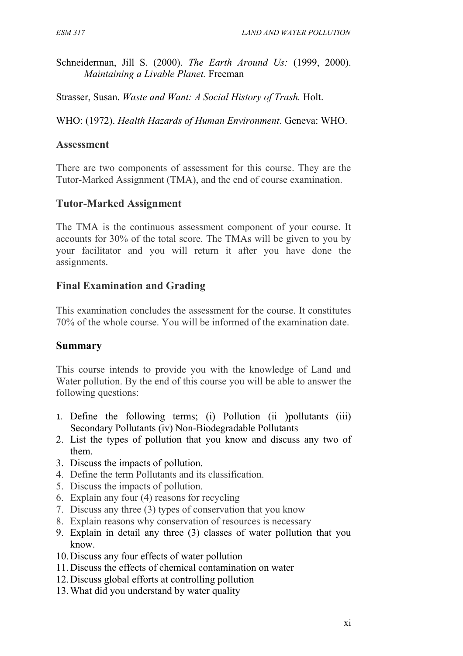Schneiderman, Jill S. (2000). *The Earth Around Us:* (1999, 2000). *Maintaining a Livable Planet.* Freeman

Strasser, Susan. *Waste and Want: A Social History of Trash.* Holt.

WHO: (1972). *Health Hazards of Human Environment*. Geneva: WHO.

### **Assessment**

There are two components of assessment for this course. They are the Tutor-Marked Assignment (TMA), and the end of course examination.

## **Tutor-Marked Assignment**

The TMA is the continuous assessment component of your course. It accounts for 30% of the total score. The TMAs will be given to you by your facilitator and you will return it after you have done the assignments.

# **Final Examination and Grading**

This examination concludes the assessment for the course. It constitutes 70% of the whole course. You will be informed of the examination date.

## **Summary**

This course intends to provide you with the knowledge of Land and Water pollution. By the end of this course you will be able to answer the following questions:

- 1. Define the following terms; (i) Pollution (ii )pollutants (iii) Secondary Pollutants (iv) Non-Biodegradable Pollutants
- 2. List the types of pollution that you know and discuss any two of them.
- 3. Discuss the impacts of pollution.
- 4. Define the term Pollutants and its classification.
- 5. Discuss the impacts of pollution.
- 6. Explain any four (4) reasons for recycling
- 7. Discuss any three (3) types of conservation that you know
- 8. Explain reasons why conservation of resources is necessary
- 9. Explain in detail any three (3) classes of water pollution that you know.
- 10.Discuss any four effects of water pollution
- 11.Discuss the effects of chemical contamination on water
- 12.Discuss global efforts at controlling pollution
- 13.What did you understand by water quality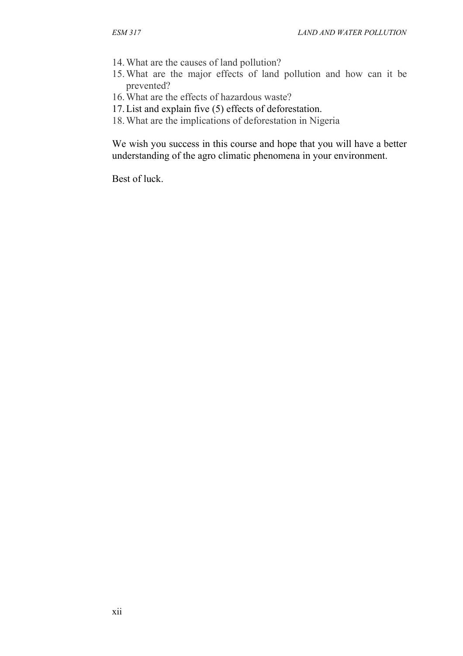- 14.What are the causes of land pollution?
- 15.What are the major effects of land pollution and how can it be prevented?
- 16.What are the effects of hazardous waste?
- 17.List and explain five (5) effects of deforestation.
- 18.What are the implications of deforestation in Nigeria

We wish you success in this course and hope that you will have a better understanding of the agro climatic phenomena in your environment.

Best of luck.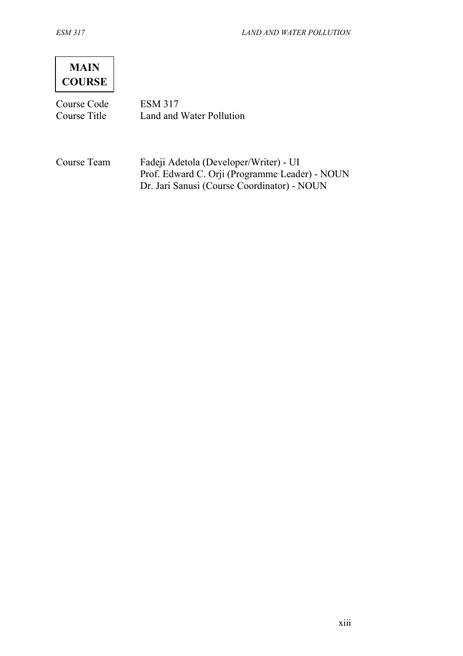

Course Code ESM 317

Course Title Land and Water Pollution

Course Team Fadeji Adetola (Developer/Writer) - UI Prof. Edward C. Orji (Programme Leader) - NOUN Dr. Jari Sanusi (Course Coordinator) - NOUN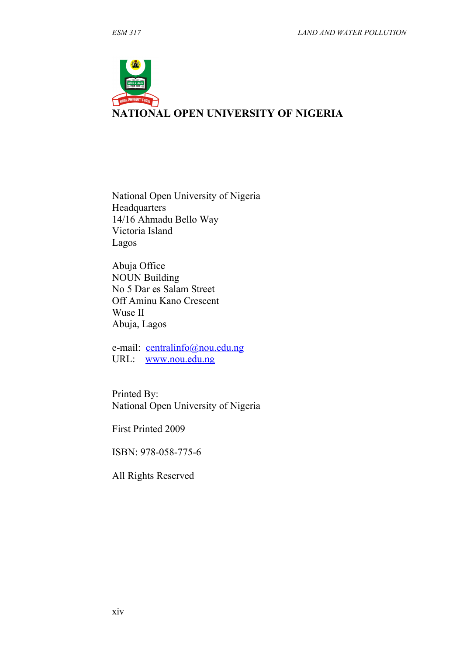

National Open University of Nigeria Headquarters 14/16 Ahmadu Bello Way Victoria Island Lagos

Abuja Office NOUN Building No 5 Dar es Salam Street Off Aminu Kano Crescent Wuse II Abuja, Lagos

e-mail: [centralinfo@nou.edu.ng](mailto:centralinfo@nou.edu.ng) URL: [www.nou.edu.ng](http://www.nou.edu.ng/)

Printed By: National Open University of Nigeria

First Printed 2009

ISBN: 978-058-775-6

All Rights Reserved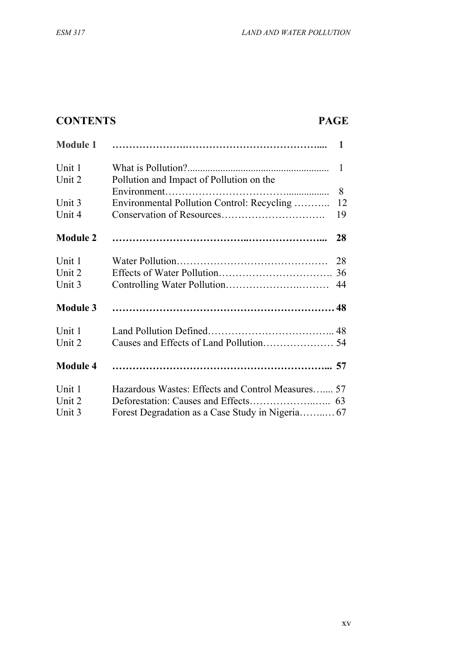# **CONTENTS PAGE**

| <b>Module 1</b> |                                                   | 1            |
|-----------------|---------------------------------------------------|--------------|
| Unit 1          |                                                   | $\mathbf{1}$ |
| Unit 2          | Pollution and Impact of Pollution on the          |              |
|                 |                                                   | 8            |
| Unit 3          | Environmental Pollution Control: Recycling        | 12           |
| Unit 4          |                                                   | 19           |
| <b>Module 2</b> |                                                   | 28           |
| Unit 1          |                                                   | 28           |
| Unit 2          |                                                   | 36           |
| Unit 3          |                                                   |              |
| <b>Module 3</b> |                                                   |              |
| Unit 1          |                                                   |              |
| Unit 2          |                                                   |              |
| <b>Module 4</b> |                                                   |              |
| Unit 1          | Hazardous Wastes: Effects and Control Measures 57 |              |
| Unit 2          |                                                   |              |
| Unit 3          |                                                   |              |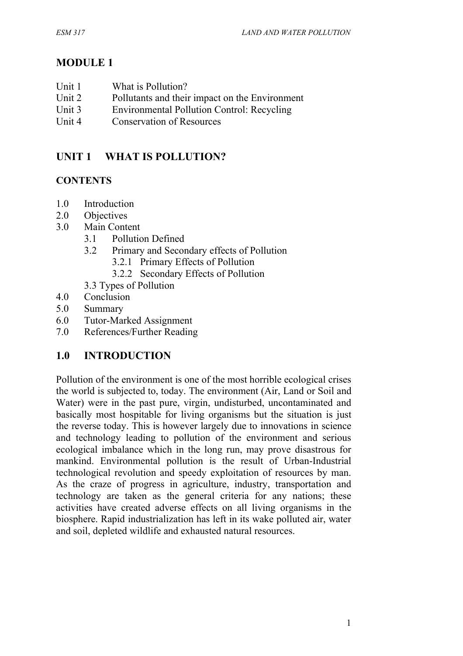# **MODULE 1**

| Unit 1<br>What is Pollution? |  |
|------------------------------|--|
|------------------------------|--|

- Unit 2 Pollutants and their impact on the Environment
- Unit 3 Environmental Pollution Control: Recycling
- Unit 4 Conservation of Resources

# **UNIT 1 WHAT IS POLLUTION?**

# **CONTENTS**

- 1.0 Introduction
- 2.0 Objectives
- 3.0 Main Content
	- 3.1 Pollution Defined
	- 3.2 Primary and Secondary effects of Pollution
		- 3.2.1 Primary Effects of Pollution
		- 3.2.2 Secondary Effects of Pollution
	- 3.3 Types of Pollution
- 4.0 Conclusion
- 5.0 Summary
- 6.0 Tutor-Marked Assignment
- 7.0 References/Further Reading

# **1.0 INTRODUCTION**

Pollution of the environment is one of the most horrible ecological crises the world is subjected to, today. The environment (Air, Land or Soil and Water) were in the past pure, virgin, undisturbed, uncontaminated and basically most hospitable for living organisms but the situation is just the reverse today. This is however largely due to innovations in science and technology leading to pollution of the environment and serious ecological imbalance which in the long run, may prove disastrous for mankind. Environmental pollution is the result of Urban-Industrial technological revolution and speedy exploitation of resources by man. As the craze of progress in agriculture, industry, transportation and technology are taken as the general criteria for any nations; these activities have created adverse effects on all living organisms in the biosphere. Rapid industrialization has left in its wake polluted air, water and soil, depleted wildlife and exhausted natural resources.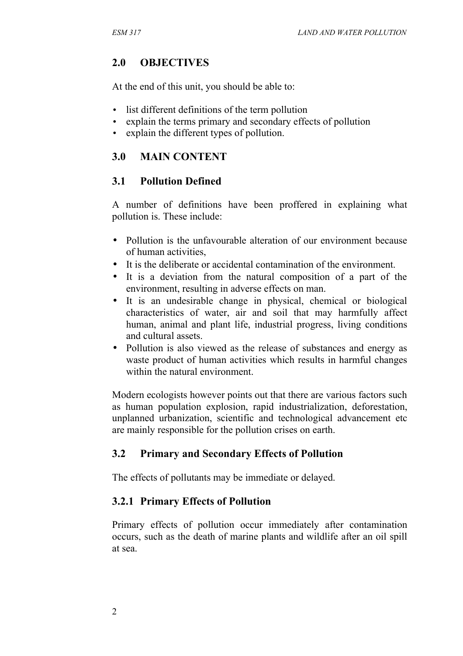# **2.0 OBJECTIVES**

At the end of this unit, you should be able to:

- list different definitions of the term pollution
- explain the terms primary and secondary effects of pollution
- explain the different types of pollution.

# **3.0 MAIN CONTENT**

# **3.1 Pollution Defined**

A number of definitions have been proffered in explaining what pollution is. These include:

- Pollution is the unfavourable alteration of our environment because of human activities,
- It is the deliberate or accidental contamination of the environment.
- It is a deviation from the natural composition of a part of the environment, resulting in adverse effects on man.
- It is an undesirable change in physical, chemical or biological characteristics of water, air and soil that may harmfully affect human, animal and plant life, industrial progress, living conditions and cultural assets.
- Pollution is also viewed as the release of substances and energy as waste product of human activities which results in harmful changes within the natural environment.

Modern ecologists however points out that there are various factors such as human population explosion, rapid industrialization, deforestation, unplanned urbanization, scientific and technological advancement etc are mainly responsible for the pollution crises on earth.

# **3.2 Primary and Secondary Effects of Pollution**

The effects of pollutants may be immediate or delayed.

# **3.2.1 Primary Effects of Pollution**

Primary effects of pollution occur immediately after contamination occurs, such as the death of marine plants and wildlife after an oil spill at sea.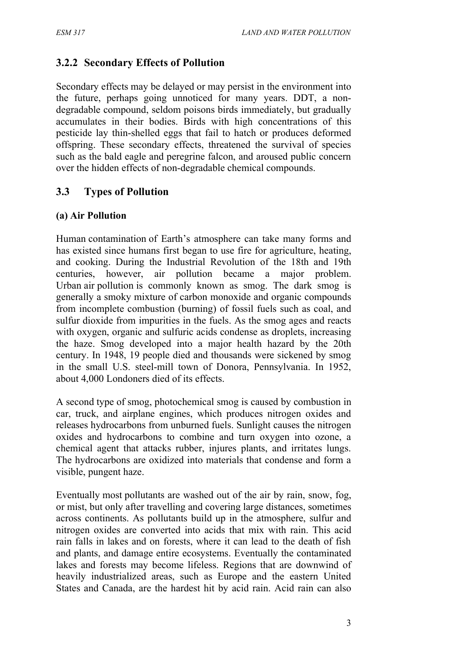# **3.2.2 Secondary Effects of Pollution**

Secondary effects may be delayed or may persist in the environment into the future, perhaps going unnoticed for many years. DDT, a nondegradable compound, seldom poisons birds immediately, but gradually accumulates in their bodies. Birds with high concentrations of this pesticide lay thin-shelled eggs that fail to hatch or produces deformed offspring. These secondary effects, threatened the survival of species such as the bald eagle and peregrine falcon, and aroused public concern over the hidden effects of non-degradable chemical compounds.

# **3.3 Types of Pollution**

## **(a) Air Pollution**

Human contamination of Earth's atmosphere can take many forms and has existed since humans first began to use fire for agriculture, heating, and cooking. During the Industrial Revolution of the 18th and 19th centuries, however, air pollution became a major problem. Urban air pollution is commonly known as smog. The dark smog is generally a smoky mixture of carbon monoxide and organic compounds from incomplete combustion (burning) of fossil fuels such as coal, and sulfur dioxide from impurities in the fuels. As the smog ages and reacts with oxygen, organic and sulfuric acids condense as droplets, increasing the haze. Smog developed into a major health hazard by the 20th century. In 1948, 19 people died and thousands were sickened by smog in the small U.S. steel-mill town of Donora, Pennsylvania. In 1952, about 4,000 Londoners died of its effects.

A second type of smog, photochemical smog is caused by combustion in car, truck, and airplane engines, which produces nitrogen oxides and releases hydrocarbons from unburned fuels. Sunlight causes the nitrogen oxides and hydrocarbons to combine and turn oxygen into ozone, a chemical agent that attacks rubber, injures plants, and irritates lungs. The hydrocarbons are oxidized into materials that condense and form a visible, pungent haze.

Eventually most pollutants are washed out of the air by rain, snow, fog, or mist, but only after travelling and covering large distances, sometimes across continents. As pollutants build up in the atmosphere, sulfur and nitrogen oxides are converted into acids that mix with rain. This acid rain falls in lakes and on forests, where it can lead to the death of fish and plants, and damage entire ecosystems. Eventually the contaminated lakes and forests may become lifeless. Regions that are downwind of heavily industrialized areas, such as Europe and the eastern United States and Canada, are the hardest hit by acid rain. Acid rain can also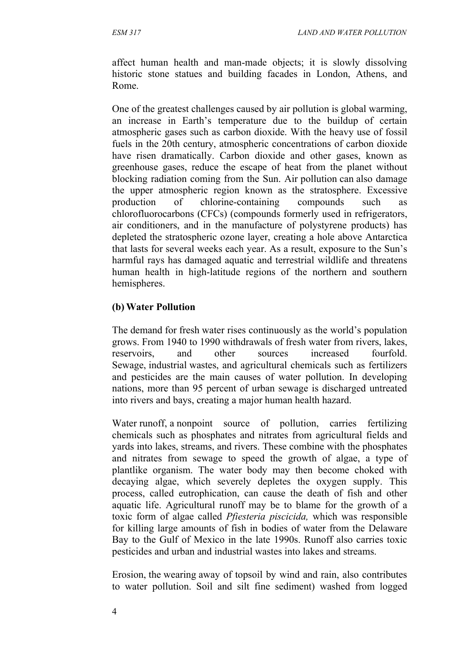affect human health and man-made objects; it is slowly dissolving historic stone statues and building facades in London, Athens, and Rome.

One of the greatest challenges caused by air pollution is global warming, an increase in Earth's temperature due to the buildup of certain atmospheric gases such as carbon dioxide. With the heavy use of fossil fuels in the 20th century, atmospheric concentrations of carbon dioxide have risen dramatically. Carbon dioxide and other gases, known as greenhouse gases, reduce the escape of heat from the planet without blocking radiation coming from the Sun. Air pollution can also damage the upper atmospheric region known as the stratosphere. Excessive production of chlorine-containing compounds such as chlorofluorocarbons (CFCs) (compounds formerly used in refrigerators, air conditioners, and in the manufacture of polystyrene products) has depleted the stratospheric ozone layer, creating a hole above Antarctica that lasts for several weeks each year. As a result, exposure to the Sun's harmful rays has damaged aquatic and terrestrial wildlife and threatens human health in high-latitude regions of the northern and southern hemispheres.

## **(b)Water Pollution**

The demand for fresh water rises continuously as the world's population grows. From 1940 to 1990 withdrawals of fresh water from rivers, lakes, reservoirs, and other sources increased fourfold. Sewage, industrial wastes, and agricultural chemicals such as fertilizers and pesticides are the main causes of water pollution. In developing nations, more than 95 percent of urban sewage is discharged untreated into rivers and bays, creating a major human health hazard.

Water runoff, a nonpoint source of pollution, carries fertilizing chemicals such as phosphates and nitrates from agricultural fields and yards into lakes, streams, and rivers. These combine with the phosphates and nitrates from sewage to speed the growth of algae, a type of plantlike organism. The water body may then become choked with decaying algae, which severely depletes the oxygen supply. This process, called eutrophication, can cause the death of fish and other aquatic life. Agricultural runoff may be to blame for the growth of a toxic form of algae called *Pfiesteria piscicida,* which was responsible for killing large amounts of fish in bodies of water from the Delaware Bay to the Gulf of Mexico in the late 1990s. Runoff also carries toxic pesticides and urban and industrial wastes into lakes and streams.

Erosion, the wearing away of topsoil by wind and rain, also contributes to water pollution. Soil and silt fine sediment) washed from logged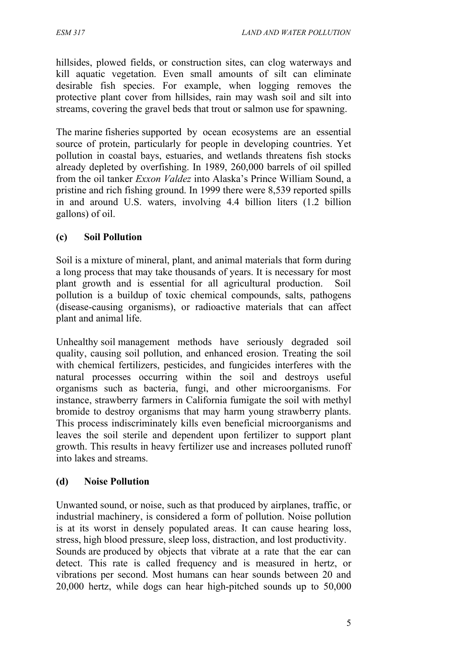hillsides, plowed fields, or construction sites, can clog waterways and kill aquatic vegetation. Even small amounts of silt can eliminate desirable fish species. For example, when logging removes the protective plant cover from hillsides, rain may wash soil and silt into streams, covering the gravel beds that trout or salmon use for spawning.

The marine fisheries supported by ocean ecosystems are an essential source of protein, particularly for people in developing countries. Yet pollution in coastal bays, estuaries, and wetlands threatens fish stocks already depleted by overfishing. In 1989, 260,000 barrels of oil spilled from the oil tanker *Exxon Valdez* into Alaska's Prince William Sound, a pristine and rich fishing ground. In 1999 there were 8,539 reported spills in and around U.S. waters, involving 4.4 billion liters (1.2 billion gallons) of oil.

## **(c) Soil Pollution**

Soil is a mixture of mineral, plant, and animal materials that form during a long process that may take thousands of years. It is necessary for most plant growth and is essential for all agricultural production. Soil pollution is a buildup of toxic chemical compounds, salts, pathogens (disease-causing organisms), or radioactive materials that can affect plant and animal life.

Unhealthy soil management methods have seriously degraded soil quality, causing soil pollution, and enhanced erosion. Treating the soil with chemical fertilizers, pesticides, and fungicides interferes with the natural processes occurring within the soil and destroys useful organisms such as bacteria, fungi, and other microorganisms. For instance, strawberry farmers in California fumigate the soil with methyl bromide to destroy organisms that may harm young strawberry plants. This process indiscriminately kills even beneficial microorganisms and leaves the soil sterile and dependent upon fertilizer to support plant growth. This results in heavy fertilizer use and increases polluted runoff into lakes and streams.

## **(d) Noise Pollution**

Unwanted sound, or noise, such as that produced by airplanes, traffic, or industrial machinery, is considered a form of pollution. Noise pollution is at its worst in densely populated areas. It can cause hearing loss, stress, high blood pressure, sleep loss, distraction, and lost productivity. Sounds are produced by objects that vibrate at a rate that the ear can detect. This rate is called frequency and is measured in hertz, or vibrations per second. Most humans can hear sounds between 20 and 20,000 hertz, while dogs can hear high-pitched sounds up to 50,000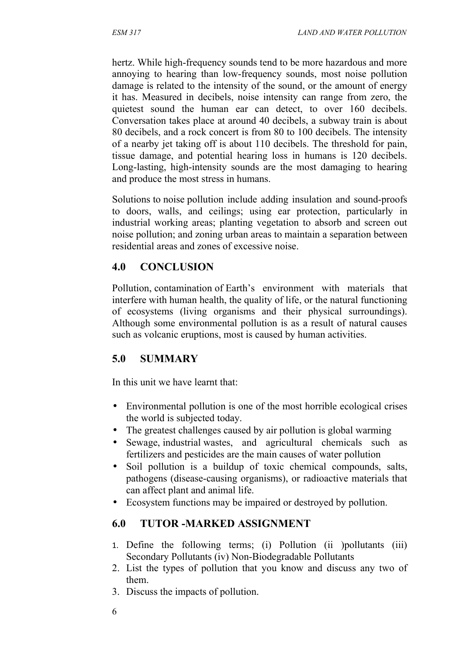hertz. While high-frequency sounds tend to be more hazardous and more annoying to hearing than low-frequency sounds, most noise pollution damage is related to the intensity of the sound, or the amount of energy it has. Measured in decibels, noise intensity can range from zero, the quietest sound the human ear can detect, to over 160 decibels. Conversation takes place at around 40 decibels, a subway train is about 80 decibels, and a rock concert is from 80 to 100 decibels. The intensity of a nearby jet taking off is about 110 decibels. The threshold for pain, tissue damage, and potential hearing loss in humans is 120 decibels. Long-lasting, high-intensity sounds are the most damaging to hearing and produce the most stress in humans.

Solutions to noise pollution include adding insulation and sound-proofs to doors, walls, and ceilings; using ear protection, particularly in industrial working areas; planting vegetation to absorb and screen out noise pollution; and zoning urban areas to maintain a separation between residential areas and zones of excessive noise.

# **4.0 CONCLUSION**

Pollution, contamination of Earth's environment with materials that interfere with human health, the quality of life, or the natural functioning of ecosystems (living organisms and their physical surroundings). Although some environmental pollution is as a result of natural causes such as volcanic eruptions, most is caused by human activities.

# **5.0 SUMMARY**

In this unit we have learnt that:

- Environmental pollution is one of the most horrible ecological crises the world is subjected today.
- The greatest challenges caused by air pollution is global warming
- Sewage, industrial wastes, and agricultural chemicals such as fertilizers and pesticides are the main causes of water pollution
- Soil pollution is a buildup of toxic chemical compounds, salts, pathogens (disease-causing organisms), or radioactive materials that can affect plant and animal life.
- Ecosystem functions may be impaired or destroyed by pollution.

# **6.0 TUTOR -MARKED ASSIGNMENT**

- 1. Define the following terms; (i) Pollution (ii )pollutants (iii) Secondary Pollutants (iv) Non-Biodegradable Pollutants
- 2. List the types of pollution that you know and discuss any two of them.
- 3. Discuss the impacts of pollution.
- 6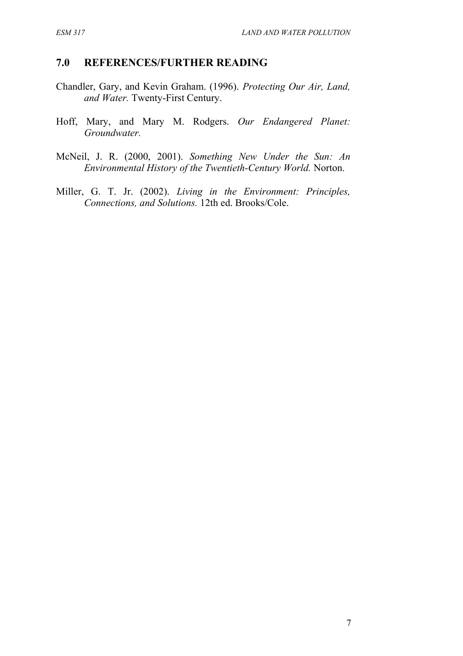## **7.0 REFERENCES/FURTHER READING**

- Chandler, Gary, and Kevin Graham. (1996). *Protecting Our Air, Land, and Water.* Twenty-First Century.
- Hoff, Mary, and Mary M. Rodgers. *Our Endangered Planet: Groundwater.*
- McNeil, J. R. (2000, 2001). *Something New Under the Sun: An Environmental History of the Twentieth-Century World.* Norton.
- Miller, G. T. Jr. (2002). *Living in the Environment: Principles, Connections, and Solutions.* 12th ed. Brooks/Cole.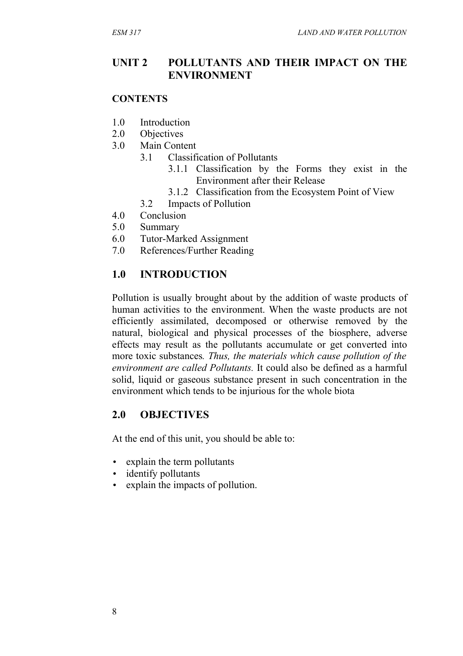## **UNIT 2 POLLUTANTS AND THEIR IMPACT ON THE ENVIRONMENT**

#### **CONTENTS**

- 1.0 Introduction
- 2.0 Objectives
- 3.0 Main Content
	- 3.1 Classification of Pollutants
		- 3.1.1 Classification by the Forms they exist in the Environment after their Release
		- 3.1.2 Classification from the Ecosystem Point of View
	- 3.2 Impacts of Pollution
- 4.0 Conclusion
- 5.0 Summary
- 6.0 Tutor-Marked Assignment
- 7.0 References/Further Reading

# **1.0 INTRODUCTION**

Pollution is usually brought about by the addition of waste products of human activities to the environment. When the waste products are not efficiently assimilated, decomposed or otherwise removed by the natural, biological and physical processes of the biosphere, adverse effects may result as the pollutants accumulate or get converted into more toxic substances*. Thus, the materials which cause pollution of the environment are called Pollutants.* It could also be defined as a harmful solid, liquid or gaseous substance present in such concentration in the environment which tends to be injurious for the whole biota

## **2.0 OBJECTIVES**

At the end of this unit, you should be able to:

- explain the term pollutants
- identify pollutants
- explain the impacts of pollution.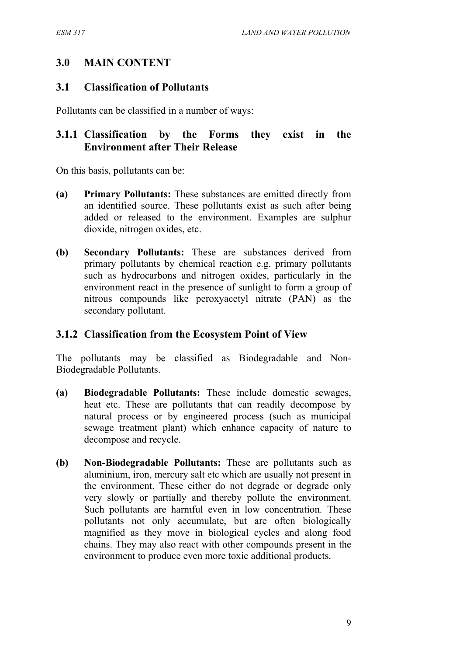## **3.0 MAIN CONTENT**

#### **3.1 Classification of Pollutants**

Pollutants can be classified in a number of ways:

## **3.1.1 Classification by the Forms they exist in the Environment after Their Release**

On this basis, pollutants can be:

- **(a) Primary Pollutants:** These substances are emitted directly from an identified source. These pollutants exist as such after being added or released to the environment. Examples are sulphur dioxide, nitrogen oxides, etc.
- **(b) Secondary Pollutants:** These are substances derived from primary pollutants by chemical reaction e.g. primary pollutants such as hydrocarbons and nitrogen oxides, particularly in the environment react in the presence of sunlight to form a group of nitrous compounds like peroxyacetyl nitrate (PAN) as the secondary pollutant.

#### **3.1.2 Classification from the Ecosystem Point of View**

The pollutants may be classified as Biodegradable and Non-Biodegradable Pollutants.

- **(a) Biodegradable Pollutants:** These include domestic sewages, heat etc. These are pollutants that can readily decompose by natural process or by engineered process (such as municipal sewage treatment plant) which enhance capacity of nature to decompose and recycle.
- **(b) Non-Biodegradable Pollutants:** These are pollutants such as aluminium, iron, mercury salt etc which are usually not present in the environment. These either do not degrade or degrade only very slowly or partially and thereby pollute the environment. Such pollutants are harmful even in low concentration. These pollutants not only accumulate, but are often biologically magnified as they move in biological cycles and along food chains. They may also react with other compounds present in the environment to produce even more toxic additional products.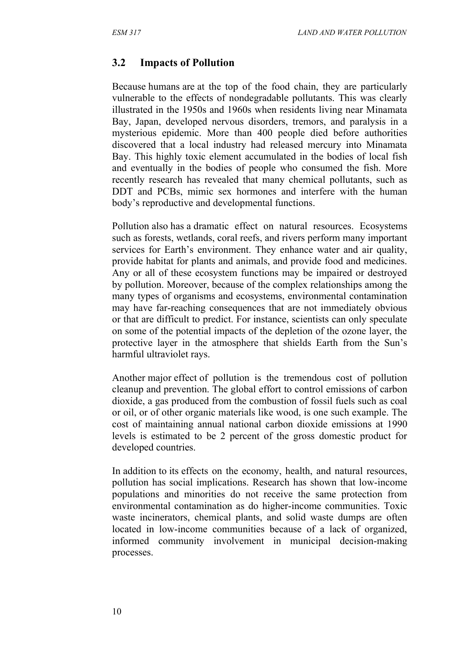## **3.2 Impacts of Pollution**

Because humans are at the top of the food chain, they are particularly vulnerable to the effects of nondegradable pollutants. This was clearly illustrated in the 1950s and 1960s when residents living near Minamata Bay, Japan, developed nervous disorders, tremors, and paralysis in a mysterious epidemic. More than 400 people died before authorities discovered that a local industry had released mercury into Minamata Bay. This highly toxic element accumulated in the bodies of local fish and eventually in the bodies of people who consumed the fish. More recently research has revealed that many chemical pollutants, such as DDT and PCBs, mimic sex hormones and interfere with the human body's reproductive and developmental functions.

Pollution also has a dramatic effect on natural resources. Ecosystems such as forests, wetlands, coral reefs, and rivers perform many important services for Earth's environment. They enhance water and air quality, provide habitat for plants and animals, and provide food and medicines. Any or all of these ecosystem functions may be impaired or destroyed by pollution. Moreover, because of the complex relationships among the many types of organisms and ecosystems, environmental contamination may have far-reaching consequences that are not immediately obvious or that are difficult to predict. For instance, scientists can only speculate on some of the potential impacts of the depletion of the ozone layer, the protective layer in the atmosphere that shields Earth from the Sun's harmful ultraviolet rays.

Another major effect of pollution is the tremendous cost of pollution cleanup and prevention. The global effort to control emissions of carbon dioxide, a gas produced from the combustion of fossil fuels such as coal or oil, or of other organic materials like wood, is one such example. The cost of maintaining annual national carbon dioxide emissions at 1990 levels is estimated to be 2 percent of the gross domestic product for developed countries.

In addition to its effects on the economy, health, and natural resources, pollution has social implications. Research has shown that low-income populations and minorities do not receive the same protection from environmental contamination as do higher-income communities. Toxic waste incinerators, chemical plants, and solid waste dumps are often located in low-income communities because of a lack of organized, informed community involvement in municipal decision-making processes.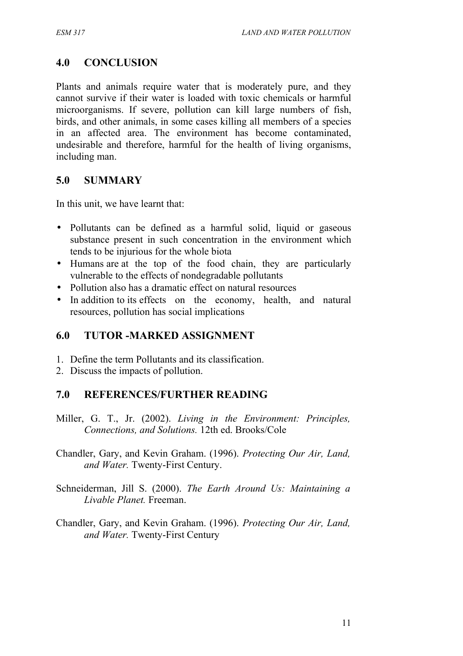# **4.0 CONCLUSION**

Plants and animals require water that is moderately pure, and they cannot survive if their water is loaded with toxic chemicals or harmful microorganisms. If severe, pollution can kill large numbers of fish, birds, and other animals, in some cases killing all members of a species in an affected area. The environment has become contaminated, undesirable and therefore, harmful for the health of living organisms, including man.

## **5.0 SUMMARY**

In this unit, we have learnt that:

- Pollutants can be defined as a harmful solid, liquid or gaseous substance present in such concentration in the environment which tends to be injurious for the whole biota
- Humans are at the top of the food chain, they are particularly vulnerable to the effects of nondegradable pollutants
- Pollution also has a dramatic effect on natural resources
- In addition to its effects on the economy, health, and natural resources, pollution has social implications

# **6.0 TUTOR -MARKED ASSIGNMENT**

- 1. Define the term Pollutants and its classification.
- 2. Discuss the impacts of pollution.

# **7.0 REFERENCES/FURTHER READING**

- Miller, G. T., Jr. (2002). *Living in the Environment: Principles, Connections, and Solutions.* 12th ed. Brooks/Cole
- Chandler, Gary, and Kevin Graham. (1996). *Protecting Our Air, Land, and Water.* Twenty-First Century.
- Schneiderman, Jill S. (2000). *The Earth Around Us: Maintaining a Livable Planet.* Freeman.
- Chandler, Gary, and Kevin Graham. (1996). *Protecting Our Air, Land, and Water.* Twenty-First Century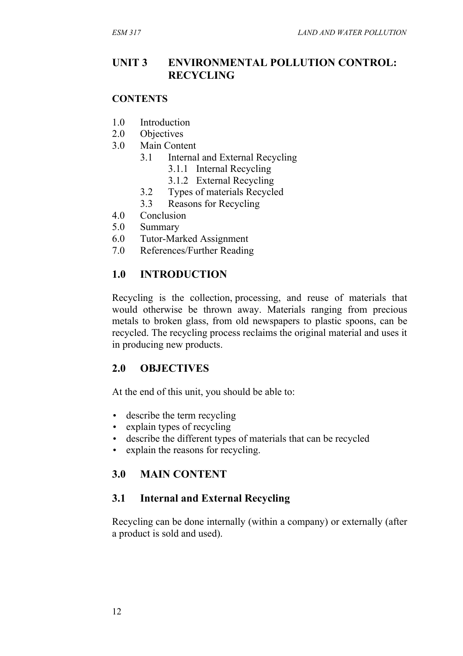# **UNIT 3 ENVIRONMENTAL POLLUTION CONTROL: RECYCLING**

## **CONTENTS**

- 1.0 Introduction
- 2.0 Objectives
- 3.0 Main Content
	- 3.1 Internal and External Recycling
		- 3.1.1 Internal Recycling
		- 3.1.2 External Recycling
	- 3.2 Types of materials Recycled
	- 3.3 Reasons for Recycling
- 4.0 Conclusion
- 5.0 Summary
- 6.0 Tutor-Marked Assignment
- 7.0 References/Further Reading

# **1.0 INTRODUCTION**

Recycling is the collection, processing, and reuse of materials that would otherwise be thrown away. Materials ranging from precious metals to broken glass, from old newspapers to plastic spoons, can be recycled. The recycling process reclaims the original material and uses it in producing new products.

## **2.0 OBJECTIVES**

At the end of this unit, you should be able to:

- describe the term recycling
- explain types of recycling
- describe the different types of materials that can be recycled
- explain the reasons for recycling.

# **3.0 MAIN CONTENT**

# **3.1 Internal and External Recycling**

Recycling can be done internally (within a company) or externally (after a product is sold and used).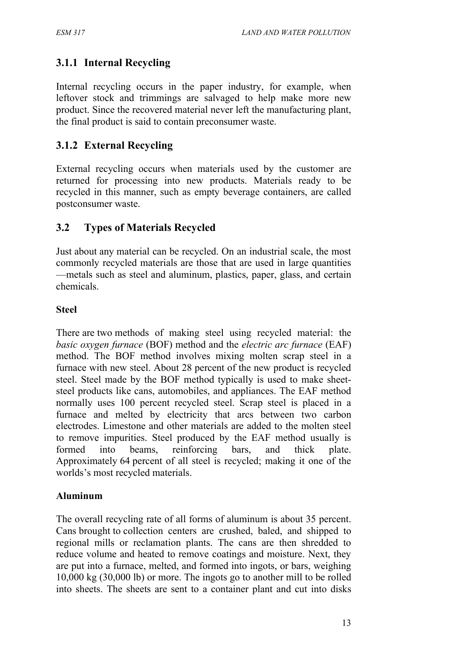# **3.1.1 Internal Recycling**

Internal recycling occurs in the paper industry, for example, when leftover stock and trimmings are salvaged to help make more new product. Since the recovered material never left the manufacturing plant, the final product is said to contain preconsumer waste.

# **3.1.2 External Recycling**

External recycling occurs when materials used by the customer are returned for processing into new products. Materials ready to be recycled in this manner, such as empty beverage containers, are called postconsumer waste.

# **3.2 Types of Materials Recycled**

Just about any material can be recycled. On an industrial scale, the most commonly recycled materials are those that are used in large quantities —metals such as steel and aluminum, plastics, paper, glass, and certain chemicals.

#### **Steel**

There are two methods of making steel using recycled material: the *basic oxygen furnace* (BOF) method and the *electric arc furnace* (EAF) method. The BOF method involves mixing molten scrap steel in a furnace with new steel. About 28 percent of the new product is recycled steel. Steel made by the BOF method typically is used to make sheetsteel products like cans, automobiles, and appliances. The EAF method normally uses 100 percent recycled steel. Scrap steel is placed in a furnace and melted by electricity that arcs between two carbon electrodes. Limestone and other materials are added to the molten steel to remove impurities. Steel produced by the EAF method usually is formed into beams, reinforcing bars, and thick plate. Approximately 64 percent of all steel is recycled; making it one of the worlds's most recycled materials.

#### **Aluminum**

The overall recycling rate of all forms of aluminum is about 35 percent. Cans brought to collection centers are crushed, baled, and shipped to regional mills or reclamation plants. The cans are then shredded to reduce volume and heated to remove coatings and moisture. Next, they are put into a furnace, melted, and formed into ingots, or bars, weighing 10,000 kg (30,000 lb) or more. The ingots go to another mill to be rolled into sheets. The sheets are sent to a container plant and cut into disks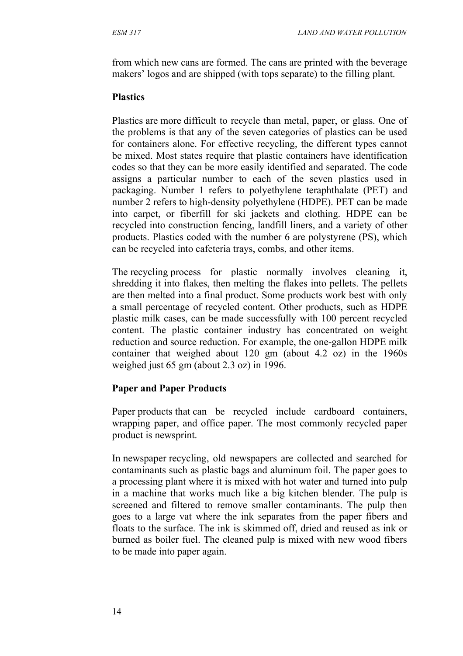from which new cans are formed. The cans are printed with the beverage makers' logos and are shipped (with tops separate) to the filling plant.

## **Plastics**

Plastics are more difficult to recycle than metal, paper, or glass. One of the problems is that any of the seven categories of plastics can be used for containers alone. For effective recycling, the different types cannot be mixed. Most states require that plastic containers have identification codes so that they can be more easily identified and separated. The code assigns a particular number to each of the seven plastics used in packaging. Number 1 refers to polyethylene teraphthalate (PET) and number 2 refers to high-density polyethylene (HDPE). PET can be made into carpet, or fiberfill for ski jackets and clothing. HDPE can be recycled into construction fencing, landfill liners, and a variety of other products. Plastics coded with the number 6 are polystyrene (PS), which can be recycled into cafeteria trays, combs, and other items.

The recycling process for plastic normally involves cleaning it, shredding it into flakes, then melting the flakes into pellets. The pellets are then melted into a final product. Some products work best with only a small percentage of recycled content. Other products, such as HDPE plastic milk cases, can be made successfully with 100 percent recycled content. The plastic container industry has concentrated on weight reduction and source reduction. For example, the one-gallon HDPE milk container that weighed about 120 gm (about 4.2 oz) in the 1960s weighed just 65 gm (about 2.3 oz) in 1996.

## **Paper and Paper Products**

Paper products that can be recycled include cardboard containers, wrapping paper, and office paper. The most commonly recycled paper product is newsprint.

In newspaper recycling, old newspapers are collected and searched for contaminants such as plastic bags and aluminum foil. The paper goes to a processing plant where it is mixed with hot water and turned into pulp in a machine that works much like a big kitchen blender. The pulp is screened and filtered to remove smaller contaminants. The pulp then goes to a large vat where the ink separates from the paper fibers and floats to the surface. The ink is skimmed off, dried and reused as ink or burned as boiler fuel. The cleaned pulp is mixed with new wood fibers to be made into paper again.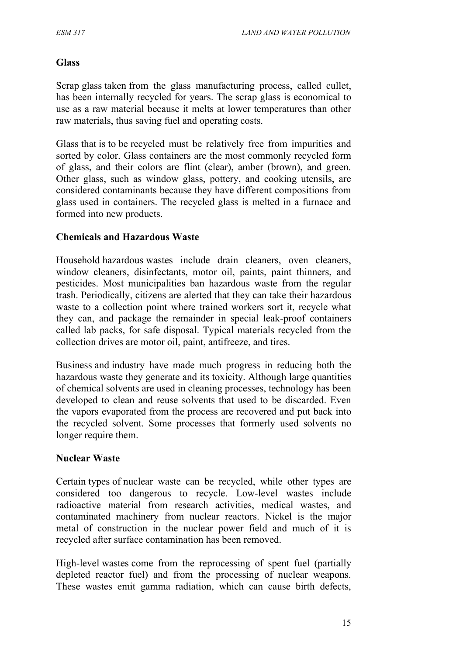#### **Glass**

Scrap glass taken from the glass manufacturing process, called cullet, has been internally recycled for years. The scrap glass is economical to use as a raw material because it melts at lower temperatures than other raw materials, thus saving fuel and operating costs.

Glass that is to be recycled must be relatively free from impurities and sorted by color. Glass containers are the most commonly recycled form of glass, and their colors are flint (clear), amber (brown), and green. Other glass, such as window glass, pottery, and cooking utensils, are considered contaminants because they have different compositions from glass used in containers. The recycled glass is melted in a furnace and formed into new products.

#### **Chemicals and Hazardous Waste**

Household hazardous wastes include drain cleaners, oven cleaners, window cleaners, disinfectants, motor oil, paints, paint thinners, and pesticides. Most municipalities ban hazardous waste from the regular trash. Periodically, citizens are alerted that they can take their hazardous waste to a collection point where trained workers sort it, recycle what they can, and package the remainder in special leak-proof containers called lab packs, for safe disposal. Typical materials recycled from the collection drives are motor oil, paint, antifreeze, and tires.

Business and industry have made much progress in reducing both the hazardous waste they generate and its toxicity. Although large quantities of chemical solvents are used in cleaning processes, technology has been developed to clean and reuse solvents that used to be discarded. Even the vapors evaporated from the process are recovered and put back into the recycled solvent. Some processes that formerly used solvents no longer require them.

#### **Nuclear Waste**

Certain types of nuclear waste can be recycled, while other types are considered too dangerous to recycle. Low-level wastes include radioactive material from research activities, medical wastes, and contaminated machinery from nuclear reactors. Nickel is the major metal of construction in the nuclear power field and much of it is recycled after surface contamination has been removed.

High-level wastes come from the reprocessing of spent fuel (partially depleted reactor fuel) and from the processing of nuclear weapons. These wastes emit gamma radiation, which can cause birth defects,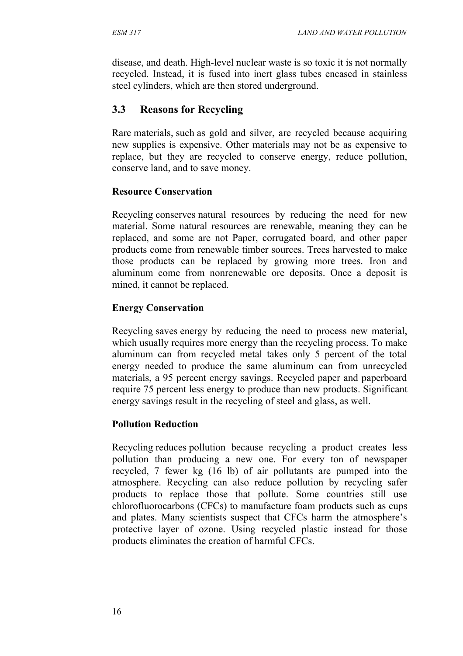disease, and death. High-level nuclear waste is so toxic it is not normally recycled. Instead, it is fused into inert glass tubes encased in stainless steel cylinders, which are then stored underground.

## **3.3 Reasons for Recycling**

Rare materials, such as gold and silver, are recycled because acquiring new supplies is expensive. Other materials may not be as expensive to replace, but they are recycled to conserve energy, reduce pollution, conserve land, and to save money.

#### **Resource Conservation**

Recycling conserves natural resources by reducing the need for new material. Some natural resources are renewable, meaning they can be replaced, and some are not Paper, corrugated board, and other paper products come from renewable timber sources. Trees harvested to make those products can be replaced by growing more trees. Iron and aluminum come from nonrenewable ore deposits. Once a deposit is mined, it cannot be replaced.

#### **Energy Conservation**

Recycling saves energy by reducing the need to process new material, which usually requires more energy than the recycling process. To make aluminum can from recycled metal takes only 5 percent of the total energy needed to produce the same aluminum can from unrecycled materials, a 95 percent energy savings. Recycled paper and paperboard require 75 percent less energy to produce than new products. Significant energy savings result in the recycling of steel and glass, as well.

#### **Pollution Reduction**

Recycling reduces pollution because recycling a product creates less pollution than producing a new one. For every ton of newspaper recycled, 7 fewer kg (16 lb) of air pollutants are pumped into the atmosphere. Recycling can also reduce pollution by recycling safer products to replace those that pollute. Some countries still use chlorofluorocarbons (CFCs) to manufacture foam products such as cups and plates. Many scientists suspect that CFCs harm the atmosphere's protective layer of ozone. Using recycled plastic instead for those products eliminates the creation of harmful CFCs.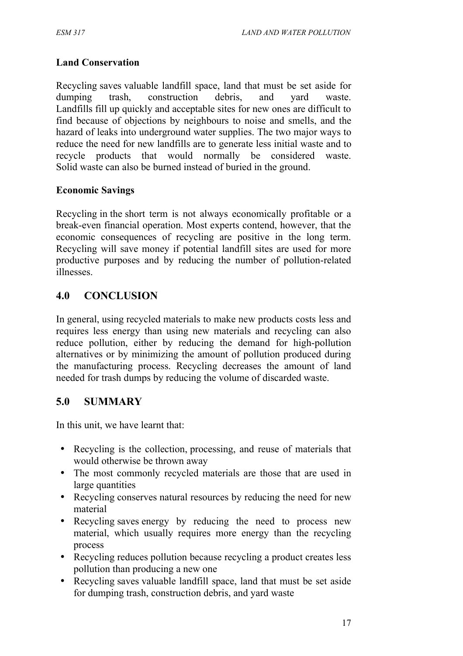## **Land Conservation**

Recycling saves valuable landfill space, land that must be set aside for dumping trash, construction debris, and yard waste. Landfills fill up quickly and acceptable sites for new ones are difficult to find because of objections by neighbours to noise and smells, and the hazard of leaks into underground water supplies. The two major ways to reduce the need for new landfills are to generate less initial waste and to recycle products that would normally be considered waste. Solid waste can also be burned instead of buried in the ground.

## **Economic Savings**

Recycling in the short term is not always economically profitable or a break-even financial operation. Most experts contend, however, that the economic consequences of recycling are positive in the long term. Recycling will save money if potential landfill sites are used for more productive purposes and by reducing the number of pollution-related illnesses.

# **4.0 CONCLUSION**

In general, using recycled materials to make new products costs less and requires less energy than using new materials and recycling can also reduce pollution, either by reducing the demand for high-pollution alternatives or by minimizing the amount of pollution produced during the manufacturing process. Recycling decreases the amount of land needed for trash dumps by reducing the volume of discarded waste.

## **5.0 SUMMARY**

In this unit, we have learnt that:

- Recycling is the collection, processing, and reuse of materials that would otherwise be thrown away
- The most commonly recycled materials are those that are used in large quantities
- Recycling conserves natural resources by reducing the need for new material
- Recycling saves energy by reducing the need to process new material, which usually requires more energy than the recycling process
- Recycling reduces pollution because recycling a product creates less pollution than producing a new one
- Recycling saves valuable landfill space, land that must be set aside for dumping trash, construction debris, and yard waste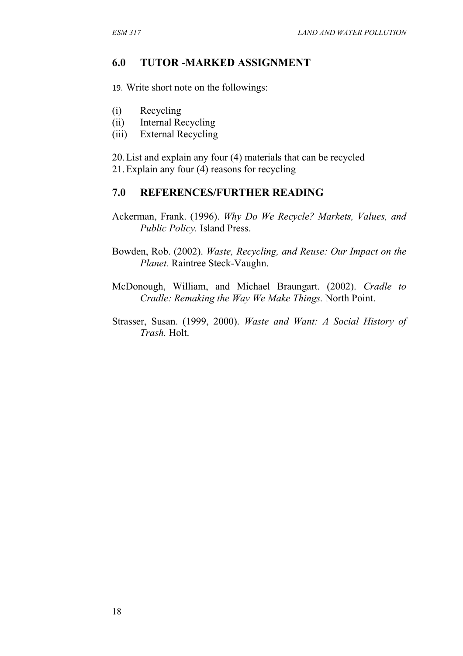### **6.0 TUTOR -MARKED ASSIGNMENT**

19. Write short note on the followings:

- (i) Recycling
- (ii) Internal Recycling
- (iii) External Recycling

20.List and explain any four (4) materials that can be recycled 21.Explain any four (4) reasons for recycling

#### **7.0 REFERENCES/FURTHER READING**

- Ackerman, Frank. (1996). *Why Do We Recycle? Markets, Values, and Public Policy.* Island Press.
- Bowden, Rob. (2002). *Waste, Recycling, and Reuse: Our Impact on the Planet.* Raintree Steck-Vaughn.
- McDonough, William, and Michael Braungart. (2002). *Cradle to Cradle: Remaking the Way We Make Things.* North Point.
- Strasser, Susan. (1999, 2000). *Waste and Want: A Social History of Trash.* Holt.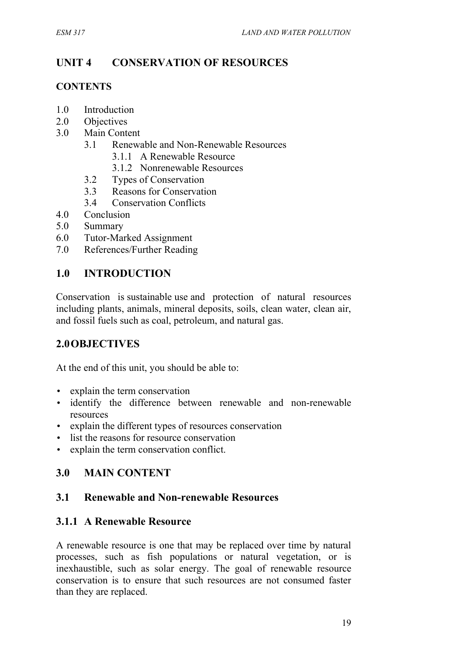# **UNIT 4 CONSERVATION OF RESOURCES**

## **CONTENTS**

- 1.0 Introduction
- 2.0 Objectives
- 3.0 Main Content
	- 3.1 Renewable and Non-Renewable Resources
		- 3.1.1 A Renewable Resource
		- 3.1.2 Nonrenewable Resources
	- 3.2 Types of Conservation
	- 3.3 Reasons for Conservation
	- 3.4 Conservation Conflicts
- 4.0 Conclusion
- 5.0 Summary
- 6.0 Tutor-Marked Assignment
- 7.0 References/Further Reading

# **1.0 INTRODUCTION**

Conservation is sustainable use and protection of natural resources including plants, animals, mineral deposits, soils, clean water, clean air, and fossil fuels such as coal, petroleum, and natural gas.

# **2.0OBJECTIVES**

At the end of this unit, you should be able to:

- explain the term conservation
- identify the difference between renewable and non-renewable resources
- explain the different types of resources conservation
- list the reasons for resource conservation
- explain the term conservation conflict.

## **3.0 MAIN CONTENT**

## **3.1 Renewable and Non-renewable Resources**

## **3.1.1 A Renewable Resource**

A renewable resource is one that may be replaced over time by natural processes, such as fish populations or natural vegetation, or is inexhaustible, such as solar energy. The goal of renewable resource conservation is to ensure that such resources are not consumed faster than they are replaced.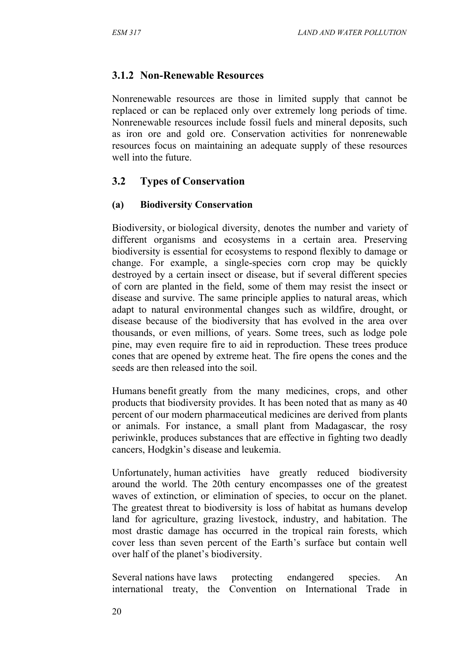## **3.1.2 Non-Renewable Resources**

Nonrenewable resources are those in limited supply that cannot be replaced or can be replaced only over extremely long periods of time. Nonrenewable resources include fossil fuels and mineral deposits, such as iron ore and gold ore. Conservation activities for nonrenewable resources focus on maintaining an adequate supply of these resources well into the future.

## **3.2 Types of Conservation**

#### **(a) Biodiversity Conservation**

Biodiversity, or biological diversity, denotes the number and variety of different organisms and ecosystems in a certain area. Preserving biodiversity is essential for ecosystems to respond flexibly to damage or change. For example, a single-species corn crop may be quickly destroyed by a certain insect or disease, but if several different species of corn are planted in the field, some of them may resist the insect or disease and survive. The same principle applies to natural areas, which adapt to natural environmental changes such as wildfire, drought, or disease because of the biodiversity that has evolved in the area over thousands, or even millions, of years. Some trees, such as lodge pole pine, may even require fire to aid in reproduction. These trees produce cones that are opened by extreme heat. The fire opens the cones and the seeds are then released into the soil.

Humans benefit greatly from the many medicines, crops, and other products that biodiversity provides. It has been noted that as many as 40 percent of our modern pharmaceutical medicines are derived from plants or animals. For instance, a small plant from Madagascar, the rosy periwinkle, produces substances that are effective in fighting two deadly cancers, Hodgkin's disease and leukemia.

Unfortunately, human activities have greatly reduced biodiversity around the world. The 20th century encompasses one of the greatest waves of extinction, or elimination of species, to occur on the planet. The greatest threat to biodiversity is loss of habitat as humans develop land for agriculture, grazing livestock, industry, and habitation. The most drastic damage has occurred in the tropical rain forests, which cover less than seven percent of the Earth's surface but contain well over half of the planet's biodiversity.

Several nations have laws protecting endangered species. An international treaty, the Convention on International Trade in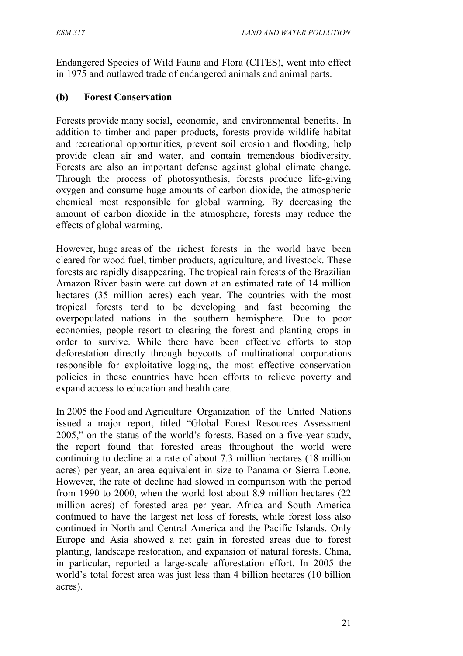Endangered Species of Wild Fauna and Flora (CITES), went into effect in 1975 and outlawed trade of endangered animals and animal parts.

#### **(b) Forest Conservation**

Forests provide many social, economic, and environmental benefits. In addition to timber and paper products, forests provide wildlife habitat and recreational opportunities, prevent soil erosion and flooding, help provide clean air and water, and contain tremendous biodiversity. Forests are also an important defense against global climate change. Through the process of photosynthesis, forests produce life-giving oxygen and consume huge amounts of carbon dioxide, the atmospheric chemical most responsible for global warming. By decreasing the amount of carbon dioxide in the atmosphere, forests may reduce the effects of global warming.

However, huge areas of the richest forests in the world have been cleared for wood fuel, timber products, agriculture, and livestock. These forests are rapidly disappearing. The tropical rain forests of the Brazilian Amazon River basin were cut down at an estimated rate of 14 million hectares (35 million acres) each year. The countries with the most tropical forests tend to be developing and fast becoming the overpopulated nations in the southern hemisphere. Due to poor economies, people resort to clearing the forest and planting crops in order to survive. While there have been effective efforts to stop deforestation directly through boycotts of multinational corporations responsible for exploitative logging, the most effective conservation policies in these countries have been efforts to relieve poverty and expand access to education and health care.

In 2005 the Food and Agriculture Organization of the United Nations issued a major report, titled "Global Forest Resources Assessment 2005," on the status of the world's forests. Based on a five-year study, the report found that forested areas throughout the world were continuing to decline at a rate of about 7.3 million hectares (18 million acres) per year, an area equivalent in size to Panama or Sierra Leone. However, the rate of decline had slowed in comparison with the period from 1990 to 2000, when the world lost about 8.9 million hectares (22 million acres) of forested area per year. Africa and South America continued to have the largest net loss of forests, while forest loss also continued in North and Central America and the Pacific Islands. Only Europe and Asia showed a net gain in forested areas due to forest planting, landscape restoration, and expansion of natural forests. China, in particular, reported a large-scale afforestation effort. In 2005 the world's total forest area was just less than 4 billion hectares (10 billion acres).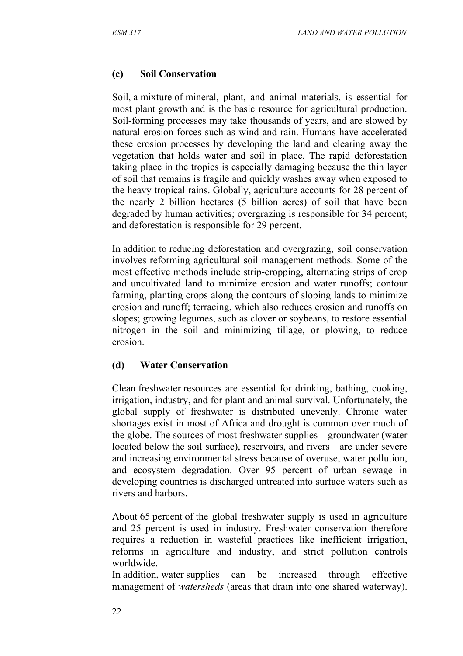#### **(c) Soil Conservation**

Soil, a mixture of mineral, plant, and animal materials, is essential for most plant growth and is the basic resource for agricultural production. Soil-forming processes may take thousands of years, and are slowed by natural erosion forces such as wind and rain. Humans have accelerated these erosion processes by developing the land and clearing away the vegetation that holds water and soil in place. The rapid deforestation taking place in the tropics is especially damaging because the thin layer of soil that remains is fragile and quickly washes away when exposed to the heavy tropical rains. Globally, agriculture accounts for 28 percent of the nearly 2 billion hectares (5 billion acres) of soil that have been degraded by human activities; overgrazing is responsible for 34 percent; and deforestation is responsible for 29 percent.

In addition to reducing deforestation and overgrazing, soil conservation involves reforming agricultural soil management methods. Some of the most effective methods include strip-cropping, alternating strips of crop and uncultivated land to minimize erosion and water runoffs; contour farming, planting crops along the contours of sloping lands to minimize erosion and runoff; terracing, which also reduces erosion and runoffs on slopes; growing legumes, such as clover or soybeans, to restore essential nitrogen in the soil and minimizing tillage, or plowing, to reduce erosion.

#### **(d) Water Conservation**

Clean freshwater resources are essential for drinking, bathing, cooking, irrigation, industry, and for plant and animal survival. Unfortunately, the global supply of freshwater is distributed unevenly. Chronic water shortages exist in most of Africa and drought is common over much of the globe. The sources of most freshwater supplies—groundwater (water located below the soil surface), reservoirs, and rivers—are under severe and increasing environmental stress because of overuse, water pollution, and ecosystem degradation. Over 95 percent of urban sewage in developing countries is discharged untreated into surface waters such as rivers and harbors.

About 65 percent of the global freshwater supply is used in agriculture and 25 percent is used in industry. Freshwater conservation therefore requires a reduction in wasteful practices like inefficient irrigation, reforms in agriculture and industry, and strict pollution controls worldwide.

In addition, water supplies can be increased through effective management of *watersheds* (areas that drain into one shared waterway).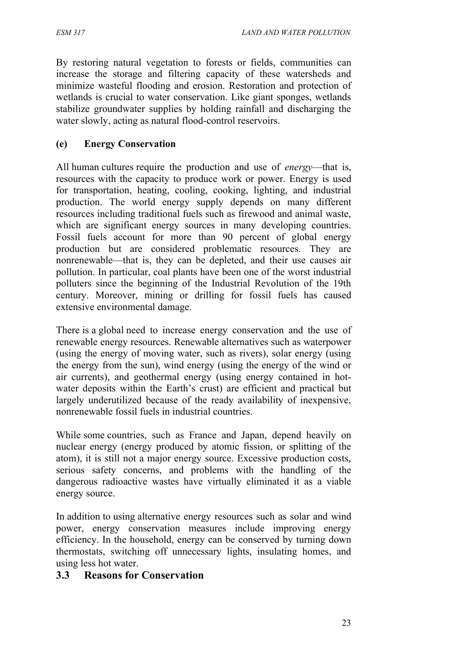By restoring natural vegetation to forests or fields, communities can increase the storage and filtering capacity of these watersheds and minimize wasteful flooding and erosion. Restoration and protection of wetlands is crucial to water conservation. Like giant sponges, wetlands stabilize groundwater supplies by holding rainfall and discharging the water slowly, acting as natural flood-control reservoirs.

#### **(e) Energy Conservation**

All human cultures require the production and use of *energy*—that is, resources with the capacity to produce work or power. Energy is used for transportation, heating, cooling, cooking, lighting, and industrial production. The world energy supply depends on many different resources including traditional fuels such as firewood and animal waste, which are significant energy sources in many developing countries. Fossil fuels account for more than 90 percent of global energy production but are considered problematic resources. They are nonrenewable—that is, they can be depleted, and their use causes air pollution. In particular, coal plants have been one of the worst industrial polluters since the beginning of the Industrial Revolution of the 19th century. Moreover, mining or drilling for fossil fuels has caused extensive environmental damage.

There is a global need to increase energy conservation and the use of renewable energy resources. Renewable alternatives such as waterpower (using the energy of moving water, such as rivers), solar energy (using the energy from the sun), wind energy (using the energy of the wind or air currents), and geothermal energy (using energy contained in hotwater deposits within the Earth's crust) are efficient and practical but largely underutilized because of the ready availability of inexpensive, nonrenewable fossil fuels in industrial countries.

While some countries, such as France and Japan, depend heavily on nuclear energy (energy produced by atomic fission, or splitting of the atom), it is still not a major energy source. Excessive production costs, serious safety concerns, and problems with the handling of the dangerous radioactive wastes have virtually eliminated it as a viable energy source.

In addition to using alternative energy resources such as solar and wind power, energy conservation measures include improving energy efficiency. In the household, energy can be conserved by turning down thermostats, switching off unnecessary lights, insulating homes, and using less hot water.

#### **3.3 Reasons for Conservation**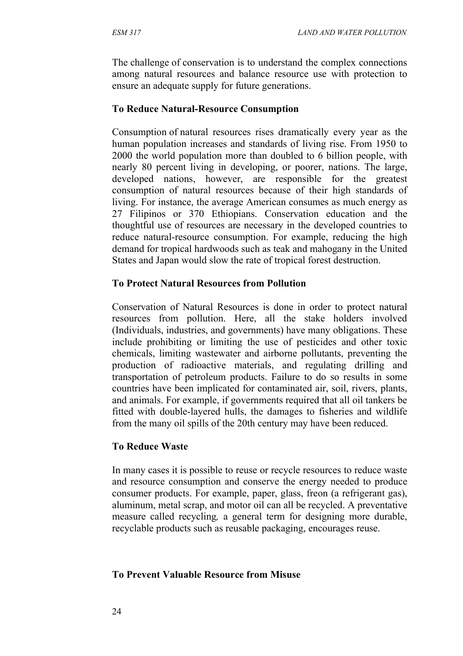The challenge of conservation is to understand the complex connections among natural resources and balance resource use with protection to ensure an adequate supply for future generations.

#### **To Reduce Natural-Resource Consumption**

Consumption of natural resources rises dramatically every year as the human population increases and standards of living rise. From 1950 to 2000 the world population more than doubled to 6 billion people, with nearly 80 percent living in developing, or poorer, nations. The large, developed nations, however, are responsible for the greatest consumption of natural resources because of their high standards of living. For instance, the average American consumes as much energy as 27 Filipinos or 370 Ethiopians. Conservation education and the thoughtful use of resources are necessary in the developed countries to reduce natural-resource consumption. For example, reducing the high demand for tropical hardwoods such as teak and mahogany in the United States and Japan would slow the rate of tropical forest destruction.

#### **To Protect Natural Resources from Pollution**

Conservation of Natural Resources is done in order to protect natural resources from pollution. Here, all the stake holders involved (Individuals, industries, and governments) have many obligations. These include prohibiting or limiting the use of pesticides and other toxic chemicals, limiting wastewater and airborne pollutants, preventing the production of radioactive materials, and regulating drilling and transportation of petroleum products. Failure to do so results in some countries have been implicated for contaminated air, soil, rivers, plants, and animals. For example, if governments required that all oil tankers be fitted with double-layered hulls, the damages to fisheries and wildlife from the many oil spills of the 20th century may have been reduced.

#### **To Reduce Waste**

In many cases it is possible to reuse or recycle resources to reduce waste and resource consumption and conserve the energy needed to produce consumer products. For example, paper, glass, freon (a refrigerant gas), aluminum, metal scrap, and motor oil can all be recycled. A preventative measure called recycling*,* a general term for designing more durable, recyclable products such as reusable packaging, encourages reuse.

#### **To Prevent Valuable Resource from Misuse**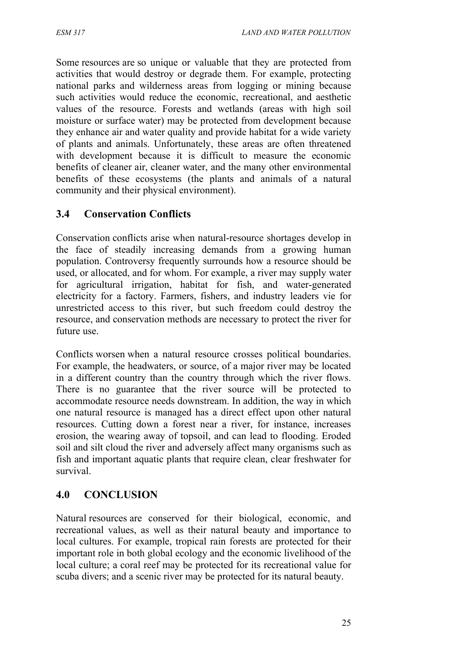Some resources are so unique or valuable that they are protected from activities that would destroy or degrade them. For example, protecting national parks and wilderness areas from logging or mining because such activities would reduce the economic, recreational, and aesthetic values of the resource. Forests and wetlands (areas with high soil moisture or surface water) may be protected from development because they enhance air and water quality and provide habitat for a wide variety of plants and animals. Unfortunately, these areas are often threatened with development because it is difficult to measure the economic benefits of cleaner air, cleaner water, and the many other environmental benefits of these ecosystems (the plants and animals of a natural community and their physical environment).

# **3.4 Conservation Conflicts**

Conservation conflicts arise when natural-resource shortages develop in the face of steadily increasing demands from a growing human population. Controversy frequently surrounds how a resource should be used, or allocated, and for whom. For example, a river may supply water for agricultural irrigation, habitat for fish, and water-generated electricity for a factory. Farmers, fishers, and industry leaders vie for unrestricted access to this river, but such freedom could destroy the resource, and conservation methods are necessary to protect the river for future use.

Conflicts worsen when a natural resource crosses political boundaries. For example, the headwaters, or source, of a major river may be located in a different country than the country through which the river flows. There is no guarantee that the river source will be protected to accommodate resource needs downstream. In addition, the way in which one natural resource is managed has a direct effect upon other natural resources. Cutting down a forest near a river, for instance, increases erosion, the wearing away of topsoil, and can lead to flooding. Eroded soil and silt cloud the river and adversely affect many organisms such as fish and important aquatic plants that require clean, clear freshwater for survival.

# **4.0 CONCLUSION**

Natural resources are conserved for their biological, economic, and recreational values, as well as their natural beauty and importance to local cultures. For example, tropical rain forests are protected for their important role in both global ecology and the economic livelihood of the local culture; a coral reef may be protected for its recreational value for scuba divers; and a scenic river may be protected for its natural beauty.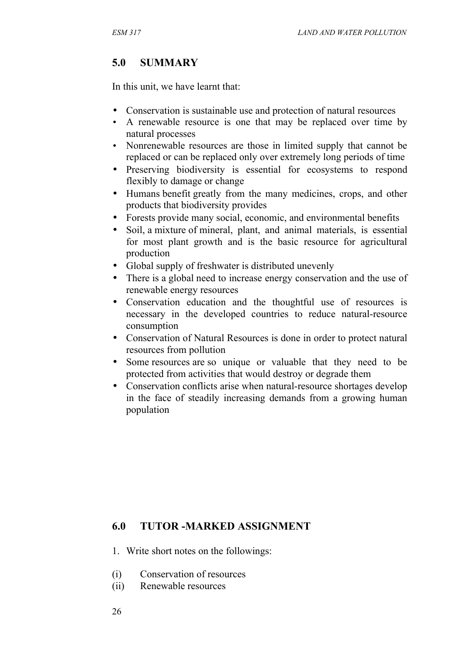# **5.0 SUMMARY**

In this unit, we have learnt that:

- Conservation is sustainable use and protection of natural resources
- A renewable resource is one that may be replaced over time by natural processes
- Nonrenewable resources are those in limited supply that cannot be replaced or can be replaced only over extremely long periods of time
- Preserving biodiversity is essential for ecosystems to respond flexibly to damage or change
- Humans benefit greatly from the many medicines, crops, and other products that biodiversity provides
- Forests provide many social, economic, and environmental benefits
- Soil, a mixture of mineral, plant, and animal materials, is essential for most plant growth and is the basic resource for agricultural production
- Global supply of freshwater is distributed unevenly
- There is a global need to increase energy conservation and the use of renewable energy resources
- Conservation education and the thoughtful use of resources is necessary in the developed countries to reduce natural-resource consumption
- Conservation of Natural Resources is done in order to protect natural resources from pollution
- Some resources are so unique or valuable that they need to be protected from activities that would destroy or degrade them
- Conservation conflicts arise when natural-resource shortages develop in the face of steadily increasing demands from a growing human population

# **6.0 TUTOR -MARKED ASSIGNMENT**

- 1. Write short notes on the followings:
- (i) Conservation of resources
- (ii) Renewable resources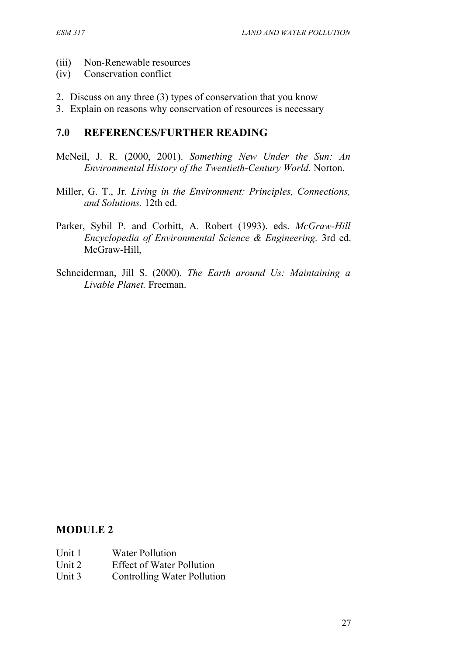- (iii) Non-Renewable resources
- (iv) Conservation conflict
- 2. Discuss on any three (3) types of conservation that you know
- 3. Explain on reasons why conservation of resources is necessary

### **7.0 REFERENCES/FURTHER READING**

- McNeil, J. R. (2000, 2001). *Something New Under the Sun: An Environmental History of the Twentieth-Century World.* Norton.
- Miller, G. T., Jr. *Living in the Environment: Principles, Connections, and Solutions.* 12th ed.
- Parker, Sybil P. and Corbitt, A. Robert (1993). eds. *McGraw-Hill Encyclopedia of Environmental Science & Engineering.* 3rd ed. McGraw-Hill,
- Schneiderman, Jill S. (2000). *The Earth around Us: Maintaining a Livable Planet.* Freeman.

### **MODULE 2**

- Unit 1 Water Pollution
- Unit 2 Effect of Water Pollution
- Unit 3 Controlling Water Pollution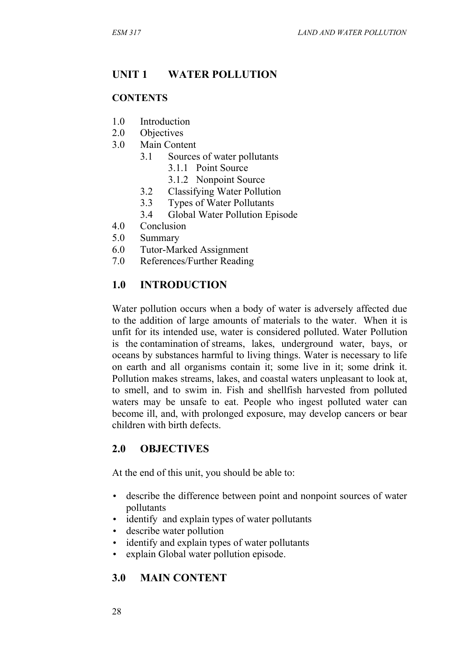## **UNIT 1 WATER POLLUTION**

#### **CONTENTS**

- 1.0 Introduction
- 2.0 Objectives
- 3.0 Main Content
	- 3.1 Sources of water pollutants
		- 3.1.1 Point Source
		- 3.1.2 Nonpoint Source
	- 3.2 Classifying Water Pollution
	- 3.3 Types of Water Pollutants
	- 3.4 Global Water Pollution Episode
- 4.0 Conclusion
- 5.0 Summary
- 6.0 Tutor-Marked Assignment
- 7.0 References/Further Reading

### **1.0 INTRODUCTION**

Water pollution occurs when a body of water is adversely affected due to the addition of large amounts of materials to the water. When it is unfit for its intended use, water is considered polluted. Water Pollution is the contamination of streams, lakes, underground water, bays, or oceans by substances harmful to living things. Water is necessary to life on earth and all organisms contain it; some live in it; some drink it. Pollution makes streams, lakes, and coastal waters unpleasant to look at, to smell, and to swim in. Fish and shellfish harvested from polluted waters may be unsafe to eat. People who ingest polluted water can become ill, and, with prolonged exposure, may develop cancers or bear children with birth defects.

#### **2.0 OBJECTIVES**

At the end of this unit, you should be able to:

- describe the difference between point and nonpoint sources of water pollutants
- identify and explain types of water pollutants
- describe water pollution
- identify and explain types of water pollutants
- explain Global water pollution episode.

### **3.0 MAIN CONTENT**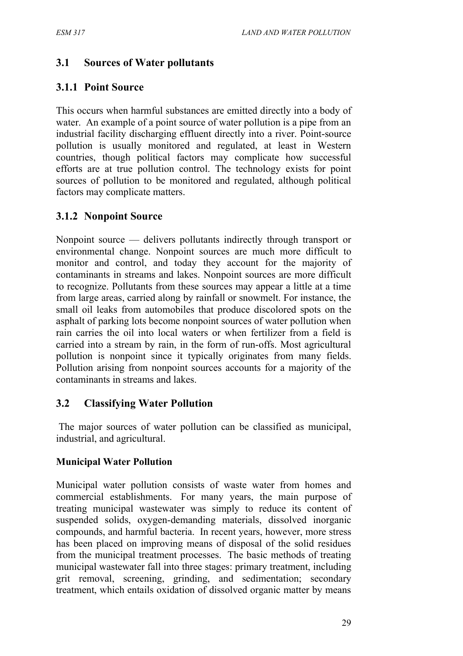# **3.1 Sources of Water pollutants**

# **3.1.1 Point Source**

This occurs when harmful substances are emitted directly into a body of water. An example of a point source of water pollution is a pipe from an industrial facility discharging effluent directly into a river. Point-source pollution is usually monitored and regulated, at least in Western countries, though political factors may complicate how successful efforts are at true pollution control. The technology exists for point sources of pollution to be monitored and regulated, although political factors may complicate matters.

## **3.1.2 Nonpoint Source**

Nonpoint source — delivers pollutants indirectly through transport or environmental change. Nonpoint sources are much more difficult to monitor and control, and today they account for the majority of contaminants in streams and lakes. Nonpoint sources are more difficult to recognize. Pollutants from these sources may appear a little at a time from large areas, carried along by rainfall or snowmelt. For instance, the small oil leaks from automobiles that produce discolored spots on the asphalt of parking lots become nonpoint sources of water pollution when rain carries the oil into local waters or when fertilizer from a field is carried into a stream by rain, in the form of run-offs. Most agricultural pollution is nonpoint since it typically originates from many fields. Pollution arising from nonpoint sources accounts for a majority of the contaminants in streams and lakes.

# **3.2 Classifying Water Pollution**

The major sources of water pollution can be classified as municipal, industrial, and agricultural.

### **Municipal Water Pollution**

Municipal water pollution consists of waste water from homes and commercial establishments. For many years, the main purpose of treating municipal wastewater was simply to reduce its content of suspended solids, oxygen-demanding materials, dissolved inorganic compounds, and harmful bacteria. In recent years, however, more stress has been placed on improving means of disposal of the solid residues from the municipal treatment processes. The basic methods of treating municipal wastewater fall into three stages: primary treatment, including grit removal, screening, grinding, and sedimentation; secondary treatment, which entails oxidation of dissolved organic matter by means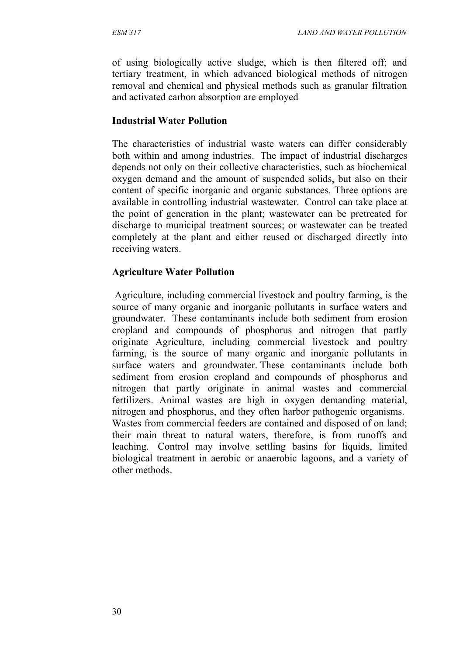of using biologically active sludge, which is then filtered off; and tertiary treatment, in which advanced biological methods of nitrogen removal and chemical and physical methods such as granular filtration and activated carbon absorption are employed

#### **Industrial Water Pollution**

The characteristics of industrial waste waters can differ considerably both within and among industries. The impact of industrial discharges depends not only on their collective characteristics, such as biochemical oxygen demand and the amount of suspended solids, but also on their content of specific inorganic and organic substances. Three options are available in controlling industrial wastewater. Control can take place at the point of generation in the plant; wastewater can be pretreated for discharge to municipal treatment sources; or wastewater can be treated completely at the plant and either reused or discharged directly into receiving waters.

#### **Agriculture Water Pollution**

Agriculture, including commercial livestock and poultry farming, is the source of many organic and inorganic pollutants in surface waters and groundwater. These contaminants include both sediment from erosion cropland and compounds of phosphorus and nitrogen that partly originate Agriculture, including commercial livestock and poultry farming, is the source of many organic and inorganic pollutants in surface waters and groundwater. These contaminants include both sediment from erosion cropland and compounds of phosphorus and nitrogen that partly originate in animal wastes and commercial fertilizers. Animal wastes are high in oxygen demanding material, nitrogen and phosphorus, and they often harbor pathogenic organisms. Wastes from commercial feeders are contained and disposed of on land; their main threat to natural waters, therefore, is from runoffs and leaching. Control may involve settling basins for liquids, limited biological treatment in aerobic or anaerobic lagoons, and a variety of other methods.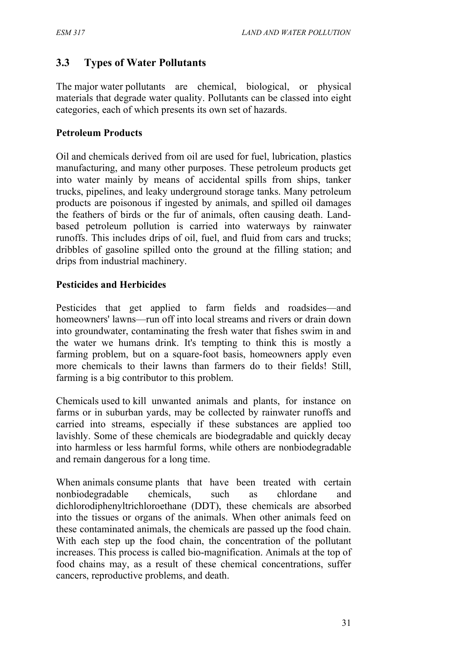# **3.3 Types of Water Pollutants**

The major water pollutants are chemical, biological, or physical materials that degrade water quality. Pollutants can be classed into eight categories, each of which presents its own set of hazards.

#### **Petroleum Products**

Oil and chemicals derived from oil are used for fuel, lubrication, plastics manufacturing, and many other purposes. These petroleum products get into water mainly by means of accidental spills from ships, tanker trucks, pipelines, and leaky underground storage tanks. Many petroleum products are poisonous if ingested by animals, and spilled oil damages the feathers of birds or the fur of animals, often causing death. Landbased petroleum pollution is carried into waterways by rainwater runoffs. This includes drips of oil, fuel, and fluid from cars and trucks; dribbles of gasoline spilled onto the ground at the filling station; and drips from industrial machinery.

#### **Pesticides and Herbicides**

Pesticides that get applied to farm fields and roadsides—and homeowners' lawns—run off into local streams and rivers or drain down into groundwater, contaminating the fresh water that fishes swim in and the water we humans drink. It's tempting to think this is mostly a farming problem, but on a square-foot basis, homeowners apply even more chemicals to their lawns than farmers do to their fields! Still, farming is a big contributor to this problem.

Chemicals used to kill unwanted animals and plants, for instance on farms or in suburban yards, may be collected by rainwater runoffs and carried into streams, especially if these substances are applied too lavishly. Some of these chemicals are biodegradable and quickly decay into harmless or less harmful forms, while others are nonbiodegradable and remain dangerous for a long time.

When animals consume plants that have been treated with certain nonbiodegradable chemicals, such as chlordane and dichlorodiphenyltrichloroethane (DDT), these chemicals are absorbed into the tissues or organs of the animals. When other animals feed on these contaminated animals, the chemicals are passed up the food chain. With each step up the food chain, the concentration of the pollutant increases. This process is called bio-magnification. Animals at the top of food chains may, as a result of these chemical concentrations, suffer cancers, reproductive problems, and death.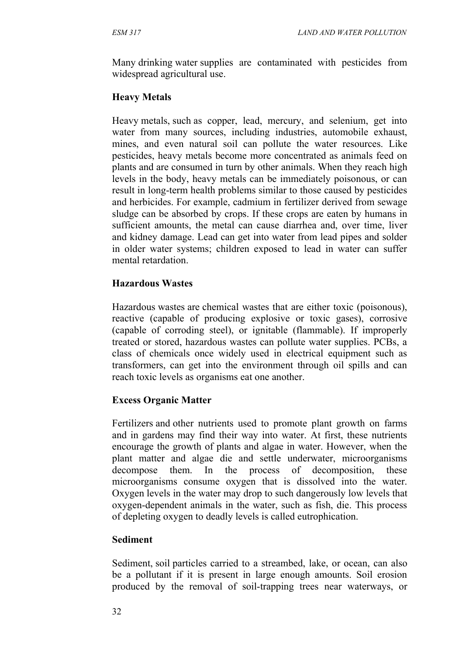Many drinking water supplies are contaminated with pesticides from widespread agricultural use.

## **Heavy Metals**

Heavy metals, such as copper, lead, mercury, and selenium, get into water from many sources, including industries, automobile exhaust, mines, and even natural soil can pollute the water resources. Like pesticides, heavy metals become more concentrated as animals feed on plants and are consumed in turn by other animals. When they reach high levels in the body, heavy metals can be immediately poisonous, or can result in long-term health problems similar to those caused by pesticides and herbicides. For example, cadmium in fertilizer derived from sewage sludge can be absorbed by crops. If these crops are eaten by humans in sufficient amounts, the metal can cause diarrhea and, over time, liver and kidney damage. Lead can get into water from lead pipes and solder in older water systems; children exposed to lead in water can suffer mental retardation.

## **Hazardous Wastes**

Hazardous wastes are chemical wastes that are either toxic (poisonous), reactive (capable of producing explosive or toxic gases), corrosive (capable of corroding steel), or ignitable (flammable). If improperly treated or stored, hazardous wastes can pollute water supplies. PCBs, a class of chemicals once widely used in electrical equipment such as transformers, can get into the environment through oil spills and can reach toxic levels as organisms eat one another.

### **Excess Organic Matter**

Fertilizers and other nutrients used to promote plant growth on farms and in gardens may find their way into water. At first, these nutrients encourage the growth of plants and algae in water. However, when the plant matter and algae die and settle underwater, microorganisms decompose them. In the process of decomposition, these microorganisms consume oxygen that is dissolved into the water. Oxygen levels in the water may drop to such dangerously low levels that oxygen-dependent animals in the water, such as fish, die. This process of depleting oxygen to deadly levels is called eutrophication.

### **Sediment**

Sediment, soil particles carried to a streambed, lake, or ocean, can also be a pollutant if it is present in large enough amounts. Soil erosion produced by the removal of soil-trapping trees near waterways, or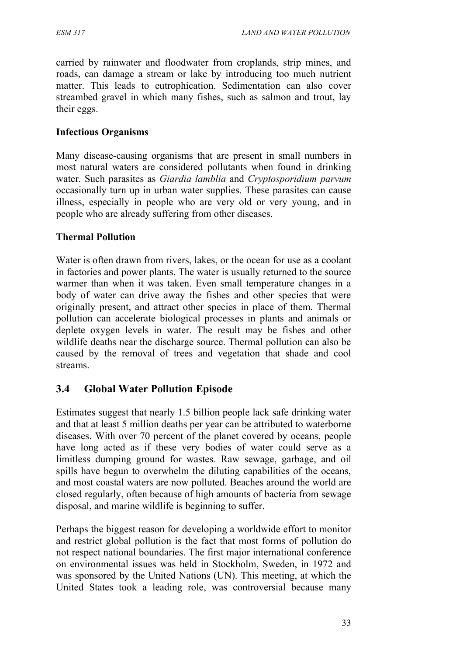carried by rainwater and floodwater from croplands, strip mines, and roads, can damage a stream or lake by introducing too much nutrient matter. This leads to eutrophication. Sedimentation can also cover streambed gravel in which many fishes, such as salmon and trout, lay their eggs.

#### **Infectious Organisms**

Many disease-causing organisms that are present in small numbers in most natural waters are considered pollutants when found in drinking water. Such parasites as *Giardia lamblia* and *Cryptosporidium parvum* occasionally turn up in urban water supplies. These parasites can cause illness, especially in people who are very old or very young, and in people who are already suffering from other diseases.

#### **Thermal Pollution**

Water is often drawn from rivers, lakes, or the ocean for use as a coolant in factories and power plants. The water is usually returned to the source warmer than when it was taken. Even small temperature changes in a body of water can drive away the fishes and other species that were originally present, and attract other species in place of them. Thermal pollution can accelerate biological processes in plants and animals or deplete oxygen levels in water. The result may be fishes and other wildlife deaths near the discharge source. Thermal pollution can also be caused by the removal of trees and vegetation that shade and cool streams.

### **3.4 Global Water Pollution Episode**

Estimates suggest that nearly 1.5 billion people lack safe drinking water and that at least 5 million deaths per year can be attributed to waterborne diseases. With over 70 percent of the planet covered by oceans, people have long acted as if these very bodies of water could serve as a limitless dumping ground for wastes. Raw sewage, garbage, and oil spills have begun to overwhelm the diluting capabilities of the oceans, and most coastal waters are now polluted. Beaches around the world are closed regularly, often because of high amounts of bacteria from sewage disposal, and marine wildlife is beginning to suffer.

Perhaps the biggest reason for developing a worldwide effort to monitor and restrict global pollution is the fact that most forms of pollution do not respect national boundaries. The first major international conference on environmental issues was held in Stockholm, Sweden, in 1972 and was sponsored by the United Nations (UN). This meeting, at which the United States took a leading role, was controversial because many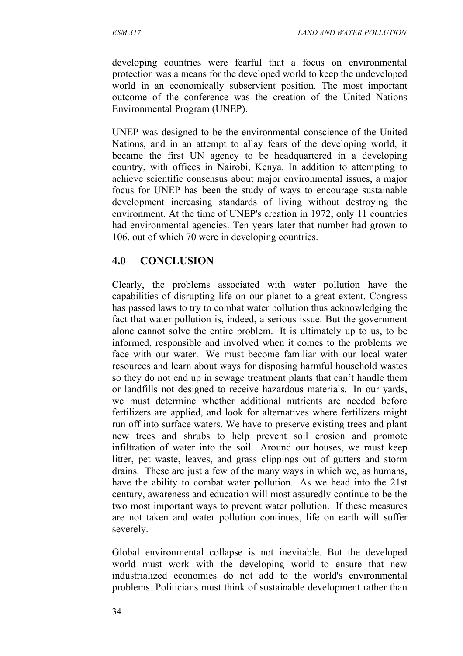developing countries were fearful that a focus on environmental protection was a means for the developed world to keep the undeveloped world in an economically subservient position. The most important outcome of the conference was the creation of the United Nations Environmental Program (UNEP).

UNEP was designed to be the environmental conscience of the United Nations, and in an attempt to allay fears of the developing world, it became the first UN agency to be headquartered in a developing country, with offices in Nairobi, Kenya. In addition to attempting to achieve scientific consensus about major environmental issues, a major focus for UNEP has been the study of ways to encourage sustainable development increasing standards of living without destroying the environment. At the time of UNEP's creation in 1972, only 11 countries had environmental agencies. Ten years later that number had grown to 106, out of which 70 were in developing countries.

## **4.0 CONCLUSION**

Clearly, the problems associated with water pollution have the capabilities of disrupting life on our planet to a great extent. Congress has passed laws to try to combat water pollution thus acknowledging the fact that water pollution is, indeed, a serious issue. But the government alone cannot solve the entire problem. It is ultimately up to us, to be informed, responsible and involved when it comes to the problems we face with our water. We must become familiar with our local water resources and learn about ways for disposing harmful household wastes so they do not end up in sewage treatment plants that can't handle them or landfills not designed to receive hazardous materials. In our yards, we must determine whether additional nutrients are needed before fertilizers are applied, and look for alternatives where fertilizers might run off into surface waters. We have to preserve existing trees and plant new trees and shrubs to help prevent soil erosion and promote infiltration of water into the soil. Around our houses, we must keep litter, pet waste, leaves, and grass clippings out of gutters and storm drains. These are just a few of the many ways in which we, as humans, have the ability to combat water pollution. As we head into the 21st century, awareness and education will most assuredly continue to be the two most important ways to prevent water pollution. If these measures are not taken and water pollution continues, life on earth will suffer severely.

Global environmental collapse is not inevitable. But the developed world must work with the developing world to ensure that new industrialized economies do not add to the world's environmental problems. Politicians must think of sustainable development rather than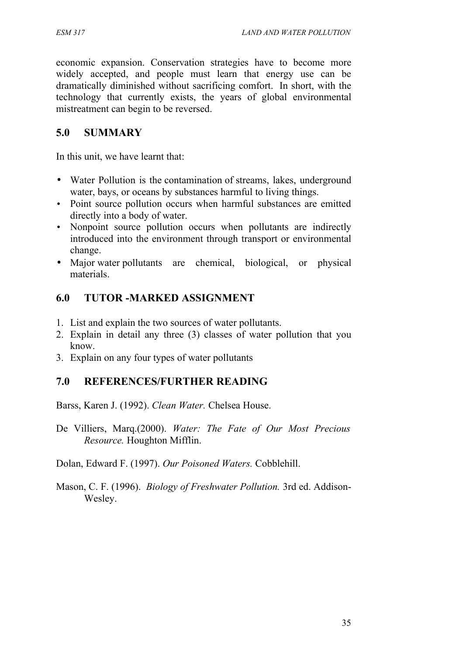economic expansion. Conservation strategies have to become more widely accepted, and people must learn that energy use can be dramatically diminished without sacrificing comfort. In short, with the technology that currently exists, the years of global environmental mistreatment can begin to be reversed.

## **5.0 SUMMARY**

In this unit, we have learnt that:

- Water Pollution is the contamination of streams, lakes, underground water, bays, or oceans by substances harmful to living things.
- Point source pollution occurs when harmful substances are emitted directly into a body of water.
- Nonpoint source pollution occurs when pollutants are indirectly introduced into the environment through transport or environmental change.
- Major water pollutants are chemical, biological, or physical materials.

### **6.0 TUTOR -MARKED ASSIGNMENT**

- 1. List and explain the two sources of water pollutants.
- 2. Explain in detail any three (3) classes of water pollution that you know.
- 3. Explain on any four types of water pollutants

### **7.0 REFERENCES/FURTHER READING**

Barss, Karen J. (1992). *Clean Water.* Chelsea House.

De Villiers, Marq.(2000). *Water: The Fate of Our Most Precious Resource.* Houghton Mifflin.

Dolan, Edward F. (1997). *Our Poisoned Waters.* Cobblehill.

Mason, C. F. (1996). *Biology of Freshwater Pollution.* 3rd ed. Addison-Wesley.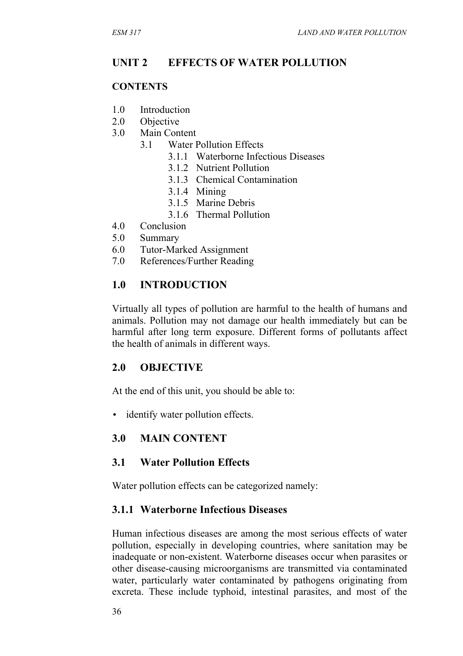# **UNIT 2 EFFECTS OF WATER POLLUTION**

#### **CONTENTS**

- 1.0 Introduction
- 2.0 Objective
- 3.0 Main Content
	- 3.1 Water Pollution Effects
		- 3.1.1 Waterborne Infectious Diseases
		- 3.1.2 Nutrient Pollution
		- 3.1.3 Chemical Contamination
		- 3.1.4 Mining
		- 3.1.5 Marine Debris
		- 3.1.6 Thermal Pollution
- 4.0 Conclusion
- 5.0 Summary
- 6.0 Tutor-Marked Assignment
- 7.0 References/Further Reading

### **1.0 INTRODUCTION**

Virtually all types of pollution are harmful to the health of humans and animals. Pollution may not damage our health immediately but can be harmful after long term exposure. Different forms of pollutants affect the health of animals in different ways.

### **2.0 OBJECTIVE**

At the end of this unit, you should be able to:

• identify water pollution effects.

### **3.0 MAIN CONTENT**

#### **3.1 Water Pollution Effects**

Water pollution effects can be categorized namely:

#### **3.1.1 Waterborne Infectious Diseases**

Human infectious diseases are among the most serious effects of water pollution, especially in developing countries, where sanitation may be inadequate or non-existent. Waterborne diseases occur when parasites or other disease-causing microorganisms are transmitted via contaminated water, particularly water contaminated by pathogens originating from excreta. These include typhoid, intestinal parasites, and most of the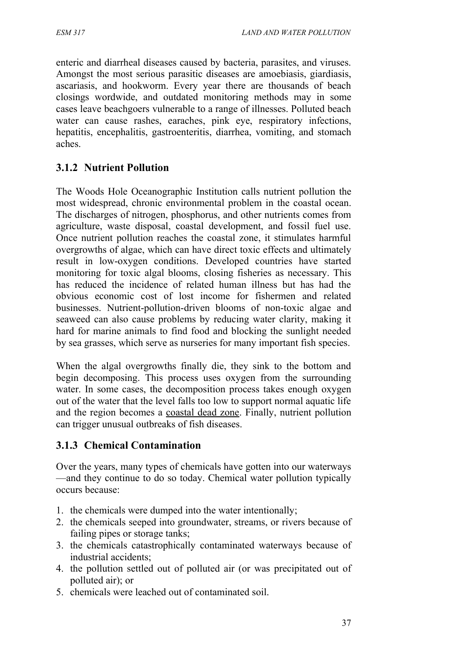enteric and diarrheal diseases caused by bacteria, parasites, and viruses. Amongst the most serious parasitic diseases are amoebiasis, giardiasis, ascariasis, and hookworm. Every year there are thousands of beach closings wordwide, and outdated monitoring methods may in some cases leave beachgoers vulnerable to a range of illnesses. Polluted beach water can cause rashes, earaches, pink eye, respiratory infections, hepatitis, encephalitis, gastroenteritis, diarrhea, vomiting, and stomach aches.

# **3.1.2 Nutrient Pollution**

The Woods Hole Oceanographic Institution calls nutrient pollution the most widespread, chronic environmental problem in the coastal ocean. The discharges of nitrogen, phosphorus, and other nutrients comes from agriculture, waste disposal, coastal development, and fossil fuel use. Once nutrient pollution reaches the coastal zone, it stimulates harmful overgrowths of algae, which can have direct toxic effects and ultimately result in low-oxygen conditions. Developed countries have started monitoring for toxic algal blooms, closing fisheries as necessary. This has reduced the incidence of related human illness but has had the obvious economic cost of lost income for fishermen and related businesses. Nutrient-pollution-driven blooms of non-toxic algae and seaweed can also cause problems by reducing water clarity, making it hard for marine animals to find food and blocking the sunlight needed by sea grasses, which serve as nurseries for many important fish species.

When the algal overgrowths finally die, they sink to the bottom and begin decomposing. This process uses oxygen from the surrounding water. In some cases, the decomposition process takes enough oxygen out of the water that the level falls too low to support normal aquatic life and the region becomes a [coastal dead zone.](http://www.grinningplanet.com/2005/05-17/gulf-of-mexico-dead-zone-usa-global-article.htm) Finally, nutrient pollution can trigger unusual outbreaks of fish diseases.

### **3.1.3 Chemical Contamination**

Over the years, many types of chemicals have gotten into our waterways —and they continue to do so today. Chemical water pollution typically occurs because:

- 1. the chemicals were dumped into the water intentionally;
- 2. the chemicals seeped into groundwater, streams, or rivers because of failing pipes or storage tanks;
- 3. the chemicals catastrophically contaminated waterways because of industrial accidents;
- 4. the pollution settled out of polluted air (or was precipitated out of polluted air); or
- 5. chemicals were leached out of contaminated soil.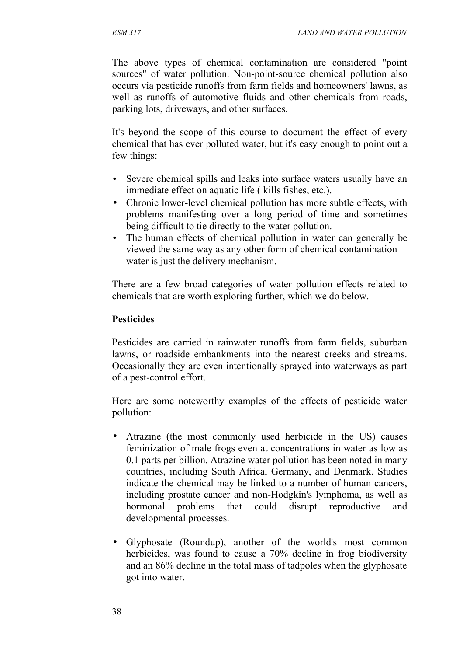The above types of chemical contamination are considered "point sources" of water pollution. Non-point-source chemical pollution also occurs via pesticide runoffs from farm fields and homeowners' lawns, as well as runoffs of automotive fluids and other chemicals from roads, parking lots, driveways, and other surfaces.

It's beyond the scope of this course to document the effect of every chemical that has ever polluted water, but it's easy enough to point out a few things:

- Severe chemical spills and leaks into surface waters usually have an immediate effect on aquatic life ( kills fishes, etc.).
- Chronic lower-level chemical pollution has more subtle effects, with problems manifesting over a long period of time and sometimes being difficult to tie directly to the water pollution.
- The human effects of chemical pollution in water can generally be viewed the same way as any other form of chemical contamination water is just the delivery mechanism.

There are a few broad categories of water pollution effects related to chemicals that are worth exploring further, which we do below.

### **Pesticides**

Pesticides are carried in rainwater runoffs from farm fields, suburban lawns, or roadside embankments into the nearest creeks and streams. Occasionally they are even intentionally sprayed into waterways as part of a pest-control effort.

Here are some noteworthy examples of the effects of pesticide water pollution:

- Atrazine (the most commonly used herbicide in the US) causes feminization of male frogs even at concentrations in water as low as 0.1 parts per billion. Atrazine water pollution has been noted in many countries, including South Africa, Germany, and Denmark. Studies indicate the chemical may be linked to a number of human cancers, including prostate cancer and non-Hodgkin's lymphoma, as well as hormonal problems that could disrupt reproductive and developmental processes.
- Glyphosate (Roundup), another of the world's most common herbicides, was found to cause a 70% decline in frog biodiversity and an 86% decline in the total mass of tadpoles when the glyphosate got into water.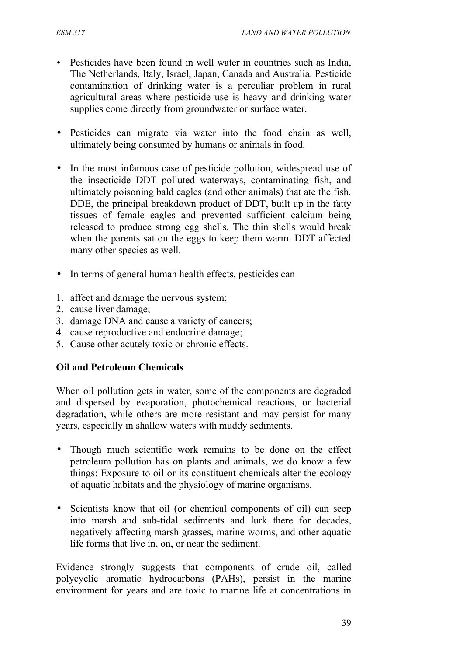- Pesticides have been found in well water in countries such as India, The Netherlands, Italy, Israel, Japan, Canada and Australia. Pesticide contamination of drinking water is a perculiar problem in rural agricultural areas where pesticide use is heavy and drinking water supplies come directly from groundwater or surface water.
- Pesticides can migrate via water into the food chain as well, ultimately being consumed by humans or animals in food.
- In the most infamous case of pesticide pollution, widespread use of the insecticide DDT polluted waterways, contaminating fish, and ultimately poisoning bald eagles (and other animals) that ate the fish. DDE, the principal breakdown product of DDT, built up in the fatty tissues of female eagles and prevented sufficient calcium being released to produce strong egg shells. The thin shells would break when the parents sat on the eggs to keep them warm. DDT affected many other species as well.
- In terms of general human health effects, pesticides can
- 1. affect and damage the nervous system;
- 2. cause liver damage;
- 3. damage DNA and cause a variety of cancers;
- 4. cause reproductive and endocrine damage;
- 5. Cause other acutely toxic or chronic effects.

#### **Oil and Petroleum Chemicals**

When oil pollution gets in water, some of the components are degraded and dispersed by evaporation, photochemical reactions, or bacterial degradation, while others are more resistant and may persist for many years, especially in shallow waters with muddy sediments.

- Though much scientific work remains to be done on the effect petroleum pollution has on plants and animals, we do know a few things: Exposure to oil or its constituent chemicals alter the ecology of aquatic habitats and the physiology of marine organisms.
- Scientists know that oil (or chemical components of oil) can seep into marsh and sub-tidal sediments and lurk there for decades, negatively affecting marsh grasses, marine worms, and other aquatic life forms that live in, on, or near the sediment.

Evidence strongly suggests that components of crude oil, called polycyclic aromatic hydrocarbons (PAHs), persist in the marine environment for years and are toxic to marine life at concentrations in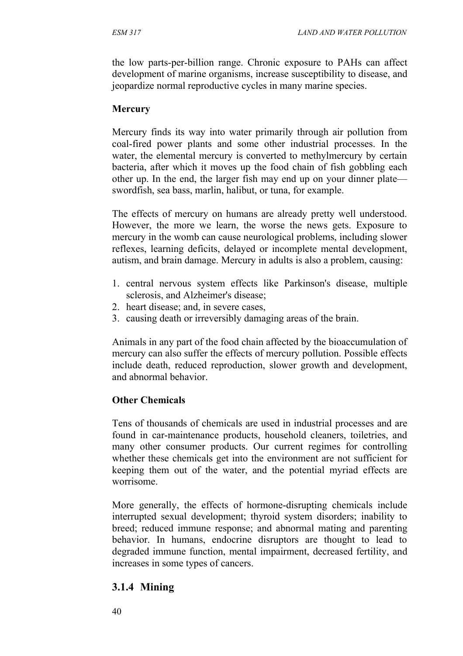the low parts-per-billion range. Chronic exposure to PAHs can affect development of marine organisms, increase susceptibility to disease, and jeopardize normal reproductive cycles in many marine species.

#### **Mercury**

Mercury finds its way into water primarily through air pollution from coal-fired power plants and some other industrial processes. In the water, the elemental mercury is converted to methylmercury by certain bacteria, after which it moves up the food chain of fish gobbling each other up. In the end, the larger fish may end up on your dinner plate swordfish, sea bass, marlin, halibut, or tuna, for example.

The effects of mercury on humans are already pretty well understood. However, the more we learn, the worse the news gets. Exposure to mercury in the womb can cause neurological problems, including slower reflexes, learning deficits, delayed or incomplete mental development, autism, and brain damage. Mercury in adults is also a problem, causing:

- 1. central nervous system effects like Parkinson's disease, multiple sclerosis, and Alzheimer's disease;
- 2. heart disease; and, in severe cases,
- 3. causing death or irreversibly damaging areas of the brain.

Animals in any part of the food chain affected by the bioaccumulation of mercury can also suffer the effects of mercury pollution. Possible effects include death, reduced reproduction, slower growth and development, and abnormal behavior.

### **Other Chemicals**

Tens of thousands of chemicals are used in industrial processes and are found in car-maintenance products, household cleaners, toiletries, and many other consumer products. Our current regimes for controlling whether these chemicals get into the environment are not sufficient for keeping them out of the water, and the potential myriad effects are worrisome.

More generally, the effects of hormone-disrupting chemicals include interrupted sexual development; thyroid system disorders; inability to breed; reduced immune response; and abnormal mating and parenting behavior. In humans, endocrine disruptors are thought to lead to degraded immune function, mental impairment, decreased fertility, and increases in some types of cancers.

### **3.1.4 Mining**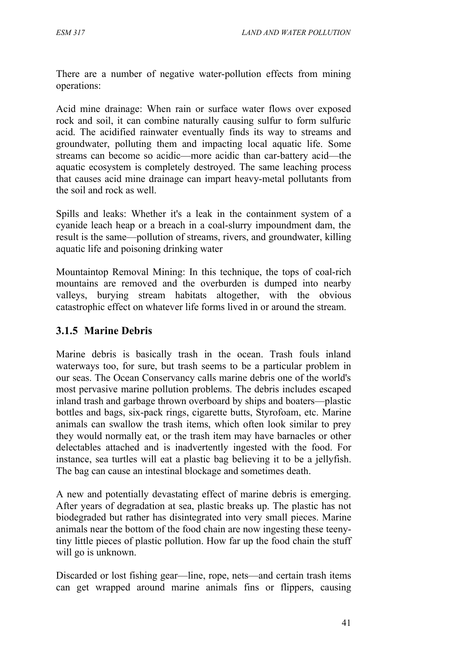There are a number of negative water-pollution effects from mining operations:

Acid mine drainage: When rain or surface water flows over exposed rock and soil, it can combine naturally causing sulfur to form sulfuric acid. The acidified rainwater eventually finds its way to streams and groundwater, polluting them and impacting local aquatic life. Some streams can become so acidic—more acidic than car-battery acid—the aquatic ecosystem is completely destroyed. The same leaching process that causes acid mine drainage can impart heavy-metal pollutants from the soil and rock as well.

Spills and leaks: Whether it's a leak in the containment system of a cyanide leach heap or a breach in a coal-slurry impoundment dam, the result is the same—pollution of streams, rivers, and groundwater, killing aquatic life and poisoning drinking water

Mountaintop Removal Mining: In this technique, the tops of coal-rich mountains are removed and the overburden is dumped into nearby valleys, burying stream habitats altogether, with the obvious catastrophic effect on whatever life forms lived in or around the stream.

### **3.1.5 Marine Debris**

Marine debris is basically trash in the ocean. Trash fouls inland waterways too, for sure, but trash seems to be a particular problem in our seas. The Ocean Conservancy calls marine debris one of the world's most pervasive marine pollution problems. The debris includes escaped inland trash and garbage thrown overboard by ships and boaters—plastic bottles and bags, six-pack rings, cigarette butts, Styrofoam, etc. Marine animals can swallow the trash items, which often look similar to prey they would normally eat, or the trash item may have barnacles or other delectables attached and is inadvertently ingested with the food. For instance, sea turtles will eat a plastic bag believing it to be a jellyfish. The bag can cause an intestinal blockage and sometimes death.

A new and potentially devastating effect of marine debris is emerging. After years of degradation at sea, plastic breaks up. The plastic has not biodegraded but rather has disintegrated into very small pieces. Marine animals near the bottom of the food chain are now ingesting these teenytiny little pieces of plastic pollution. How far up the food chain the stuff will go is unknown.

Discarded or lost fishing gear—line, rope, nets—and certain trash items can get wrapped around marine animals fins or flippers, causing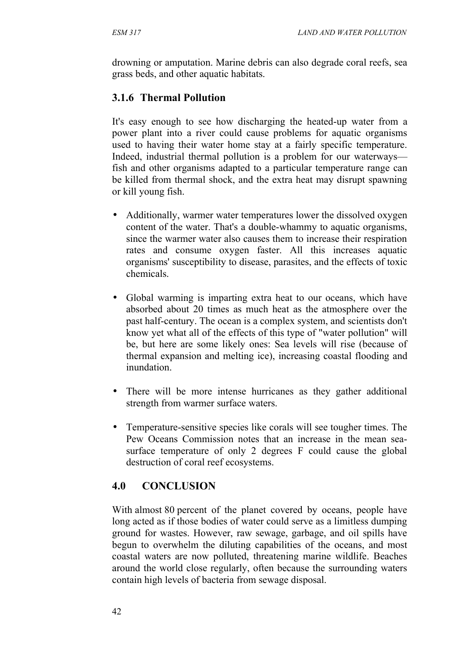drowning or amputation. Marine debris can also degrade coral reefs, sea grass beds, and other aquatic habitats.

# **3.1.6 Thermal Pollution**

It's easy enough to see how discharging the heated-up water from a power plant into a river could cause problems for aquatic organisms used to having their water home stay at a fairly specific temperature. Indeed, industrial thermal pollution is a problem for our waterways fish and other organisms adapted to a particular temperature range can be killed from thermal shock, and the extra heat may disrupt spawning or kill young fish.

- Additionally, warmer water temperatures lower the dissolved oxygen content of the water. That's a double-whammy to aquatic organisms, since the warmer water also causes them to increase their respiration rates and consume oxygen faster. All this increases aquatic organisms' susceptibility to disease, parasites, and the effects of toxic chemicals.
- Global warming is imparting extra heat to our oceans, which have absorbed about 20 times as much heat as the atmosphere over the past half-century. The ocean is a complex system, and scientists don't know yet what all of the effects of this type of "water pollution" will be, but here are some likely ones: Sea levels will rise (because of thermal expansion and melting ice), increasing coastal flooding and inundation.
- There will be more intense hurricanes as they gather additional strength from warmer surface waters.
- Temperature-sensitive species like corals will see tougher times. The Pew Oceans Commission notes that an increase in the mean seasurface temperature of only 2 degrees F could cause the global destruction of coral reef ecosystems.

# **4.0 CONCLUSION**

With almost 80 percent of the planet covered by oceans, people have long acted as if those bodies of water could serve as a limitless dumping ground for wastes. However, raw sewage, garbage, and oil spills have begun to overwhelm the diluting capabilities of the oceans, and most coastal waters are now polluted, threatening marine wildlife. Beaches around the world close regularly, often because the surrounding waters contain high levels of bacteria from sewage disposal.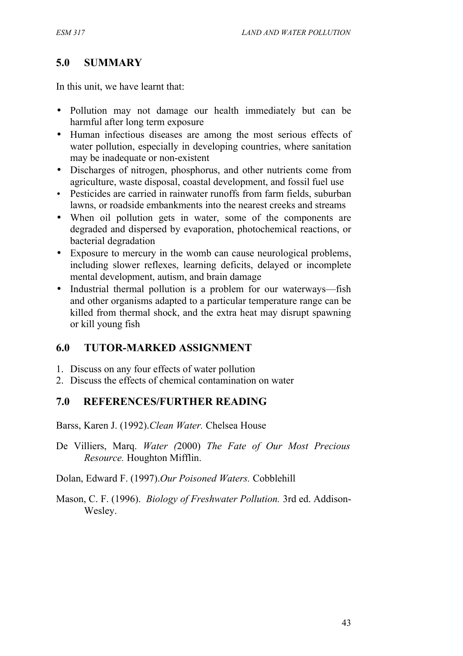# **5.0 SUMMARY**

In this unit, we have learnt that:

- Pollution may not damage our health immediately but can be harmful after long term exposure
- Human infectious diseases are among the most serious effects of water pollution, especially in developing countries, where sanitation may be inadequate or non-existent
- Discharges of nitrogen, phosphorus, and other nutrients come from agriculture, waste disposal, coastal development, and fossil fuel use
- Pesticides are carried in rainwater runoffs from farm fields, suburban lawns, or roadside embankments into the nearest creeks and streams
- When oil pollution gets in water, some of the components are degraded and dispersed by evaporation, photochemical reactions, or bacterial degradation
- Exposure to mercury in the womb can cause neurological problems, including slower reflexes, learning deficits, delayed or incomplete mental development, autism, and brain damage
- Industrial thermal pollution is a problem for our waterways—fish and other organisms adapted to a particular temperature range can be killed from thermal shock, and the extra heat may disrupt spawning or kill young fish

# **6.0 TUTOR-MARKED ASSIGNMENT**

- 1. Discuss on any four effects of water pollution
- 2. Discuss the effects of chemical contamination on water

# **7.0 REFERENCES/FURTHER READING**

Barss, Karen J. (1992).*Clean Water.* Chelsea House

De Villiers, Marq. *Water (*2000) *The Fate of Our Most Precious Resource.* Houghton Mifflin.

Dolan, Edward F. (1997).*Our Poisoned Waters.* Cobblehill

Mason, C. F. (1996). *Biology of Freshwater Pollution.* 3rd ed. Addison-Wesley.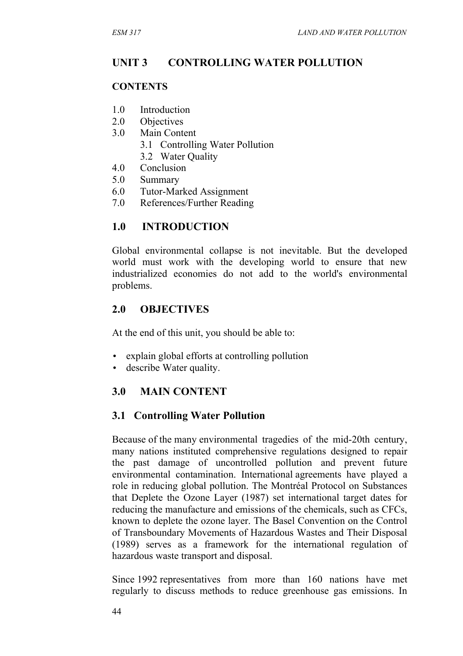# **UNIT 3 CONTROLLING WATER POLLUTION**

#### **CONTENTS**

- 1.0 Introduction
- 2.0 Objectives
- 3.0 Main Content
	- 3.1 Controlling Water Pollution
	- 3.2 Water Quality
- 4.0 Conclusion
- 5.0 Summary
- 6.0 Tutor-Marked Assignment
- 7.0 References/Further Reading

## **1.0 INTRODUCTION**

Global environmental collapse is not inevitable. But the developed world must work with the developing world to ensure that new industrialized economies do not add to the world's environmental problems.

## **2.0 OBJECTIVES**

At the end of this unit, you should be able to:

- explain global efforts at controlling pollution
- describe Water quality.

# **3.0 MAIN CONTENT**

### **3.1 Controlling Water Pollution**

Because of the many environmental tragedies of the mid-20th century, many nations instituted comprehensive regulations designed to repair the past damage of uncontrolled pollution and prevent future environmental contamination. International agreements have played a role in reducing global pollution. The Montréal Protocol on Substances that Deplete the Ozone Layer (1987) set international target dates for reducing the manufacture and emissions of the chemicals, such as CFCs, known to deplete the ozone layer. The Basel Convention on the Control of Transboundary Movements of Hazardous Wastes and Their Disposal (1989) serves as a framework for the international regulation of hazardous waste transport and disposal.

Since 1992 representatives from more than 160 nations have met regularly to discuss methods to reduce greenhouse gas emissions. In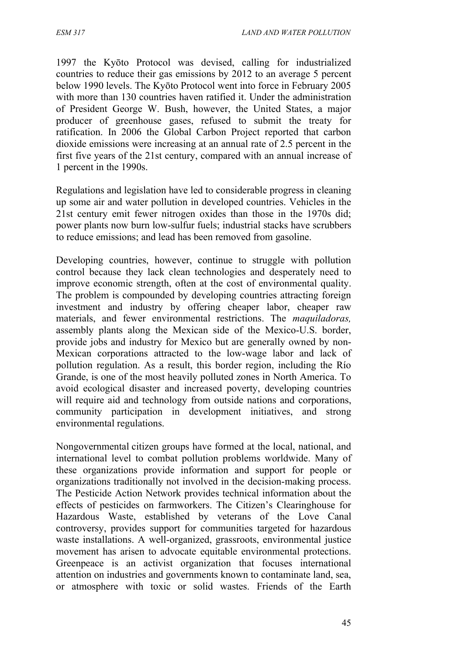1997 the Kyōto Protocol was devised, calling for industrialized countries to reduce their gas emissions by 2012 to an average 5 percent below 1990 levels. The Kyōto Protocol went into force in February 2005 with more than 130 countries haven ratified it. Under the administration of President George W. Bush, however, the United States, a major producer of greenhouse gases, refused to submit the treaty for ratification. In 2006 the Global Carbon Project reported that carbon dioxide emissions were increasing at an annual rate of 2.5 percent in the first five years of the 21st century, compared with an annual increase of 1 percent in the 1990s.

Regulations and legislation have led to considerable progress in cleaning up some air and water pollution in developed countries. Vehicles in the 21st century emit fewer nitrogen oxides than those in the 1970s did; power plants now burn low-sulfur fuels; industrial stacks have scrubbers to reduce emissions; and lead has been removed from gasoline.

Developing countries, however, continue to struggle with pollution control because they lack clean technologies and desperately need to improve economic strength, often at the cost of environmental quality. The problem is compounded by developing countries attracting foreign investment and industry by offering cheaper labor, cheaper raw materials, and fewer environmental restrictions. The *maquiladoras,* assembly plants along the Mexican side of the Mexico-U.S. border, provide jobs and industry for Mexico but are generally owned by non-Mexican corporations attracted to the low-wage labor and lack of pollution regulation. As a result, this border region, including the Río Grande, is one of the most heavily polluted zones in North America. To avoid ecological disaster and increased poverty, developing countries will require aid and technology from outside nations and corporations, community participation in development initiatives, and strong environmental regulations.

Nongovernmental citizen groups have formed at the local, national, and international level to combat pollution problems worldwide. Many of these organizations provide information and support for people or organizations traditionally not involved in the decision-making process. The Pesticide Action Network provides technical information about the effects of pesticides on farmworkers. The Citizen's Clearinghouse for Hazardous Waste, established by veterans of the Love Canal controversy, provides support for communities targeted for hazardous waste installations. A well-organized, grassroots, environmental justice movement has arisen to advocate equitable environmental protections. Greenpeace is an activist organization that focuses international attention on industries and governments known to contaminate land, sea, or atmosphere with toxic or solid wastes. Friends of the Earth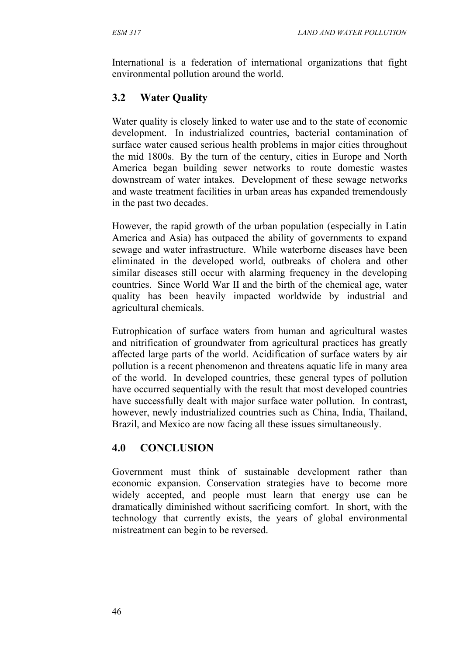International is a federation of international organizations that fight environmental pollution around the world.

# **3.2 Water Quality**

Water quality is closely linked to water use and to the state of economic development. In industrialized countries, bacterial contamination of surface water caused serious health problems in major cities throughout the mid 1800s. By the turn of the century, cities in Europe and North America began building sewer networks to route domestic wastes downstream of water intakes. Development of these sewage networks and waste treatment facilities in urban areas has expanded tremendously in the past two decades.

However, the rapid growth of the urban population (especially in Latin America and Asia) has outpaced the ability of governments to expand sewage and water infrastructure. While waterborne diseases have been eliminated in the developed world, outbreaks of cholera and other similar diseases still occur with alarming frequency in the developing countries. Since World War II and the birth of the chemical age, water quality has been heavily impacted worldwide by industrial and agricultural chemicals.

Eutrophication of surface waters from human and agricultural wastes and nitrification of groundwater from agricultural practices has greatly affected large parts of the world. Acidification of surface waters by air pollution is a recent phenomenon and threatens aquatic life in many area of the world. In developed countries, these general types of pollution have occurred sequentially with the result that most developed countries have successfully dealt with major surface water pollution. In contrast, however, newly industrialized countries such as China, India, Thailand, Brazil, and Mexico are now facing all these issues simultaneously.

# **4.0 CONCLUSION**

Government must think of sustainable development rather than economic expansion. Conservation strategies have to become more widely accepted, and people must learn that energy use can be dramatically diminished without sacrificing comfort. In short, with the technology that currently exists, the years of global environmental mistreatment can begin to be reversed.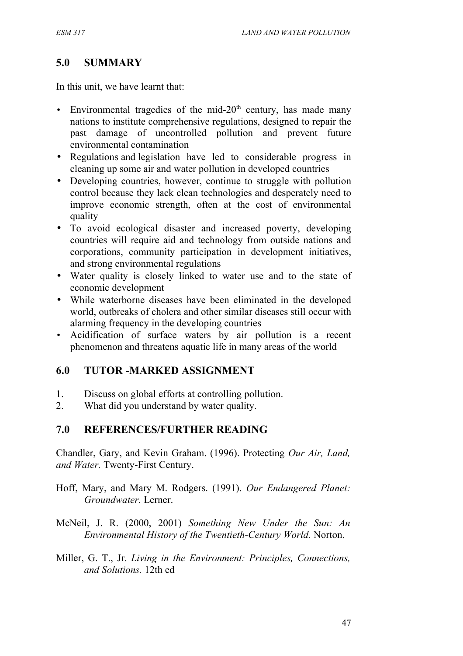### **5.0 SUMMARY**

In this unit, we have learnt that:

- Environmental tragedies of the mid- $20<sup>th</sup>$  century, has made many nations to institute comprehensive regulations, designed to repair the past damage of uncontrolled pollution and prevent future environmental contamination
- Regulations and legislation have led to considerable progress in cleaning up some air and water pollution in developed countries
- Developing countries, however, continue to struggle with pollution control because they lack clean technologies and desperately need to improve economic strength, often at the cost of environmental quality
- To avoid ecological disaster and increased poverty, developing countries will require aid and technology from outside nations and corporations, community participation in development initiatives, and strong environmental regulations
- Water quality is closely linked to water use and to the state of economic development
- While waterborne diseases have been eliminated in the developed world, outbreaks of cholera and other similar diseases still occur with alarming frequency in the developing countries
- Acidification of surface waters by air pollution is a recent phenomenon and threatens aquatic life in many areas of the world

### **6.0 TUTOR -MARKED ASSIGNMENT**

- 1. Discuss on global efforts at controlling pollution.
- 2. What did you understand by water quality.

#### **7.0 REFERENCES/FURTHER READING**

Chandler, Gary, and Kevin Graham. (1996). Protecting *Our Air, Land, and Water.* Twenty-First Century.

- Hoff, Mary, and Mary M. Rodgers. (1991). *Our Endangered Planet: Groundwater.* Lerner.
- McNeil, J. R. (2000, 2001) *Something New Under the Sun: An Environmental History of the Twentieth-Century World.* Norton.
- Miller, G. T., Jr. *Living in the Environment: Principles, Connections, and Solutions.* 12th ed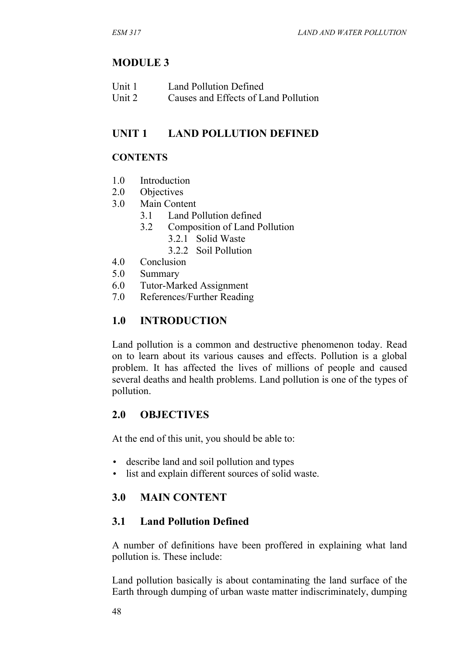#### **MODULE 3**

| Unit 1 | <b>Land Pollution Defined</b>        |
|--------|--------------------------------------|
| Unit 2 | Causes and Effects of Land Pollution |

#### **UNIT 1 LAND POLLUTION DEFINED**

#### **CONTENTS**

- 1.0 Introduction
- 2.0 Objectives
- 3.0 Main Content
	- 3.1 Land Pollution defined
		- 3.2 Composition of Land Pollution
			- 3.2.1 Solid Waste
				- 3.2.2 Soil Pollution
- 4.0 Conclusion
- 5.0 Summary
- 6.0 Tutor-Marked Assignment
- 7.0 References/Further Reading

#### **1.0 INTRODUCTION**

Land pollution is a common and destructive phenomenon today. Read on to learn about its various causes and effects. Pollution is a global problem. It has affected the lives of millions of people and caused several deaths and health problems. Land pollution is one of the types of pollution.

#### **2.0 OBJECTIVES**

At the end of this unit, you should be able to:

- describe land and soil pollution and types
- list and explain different sources of solid waste.

### **3.0 MAIN CONTENT**

#### **3.1 Land Pollution Defined**

A number of definitions have been proffered in explaining what land pollution is. These include:

Land pollution basically is about contaminating the land surface of the Earth through dumping of urban waste matter indiscriminately, dumping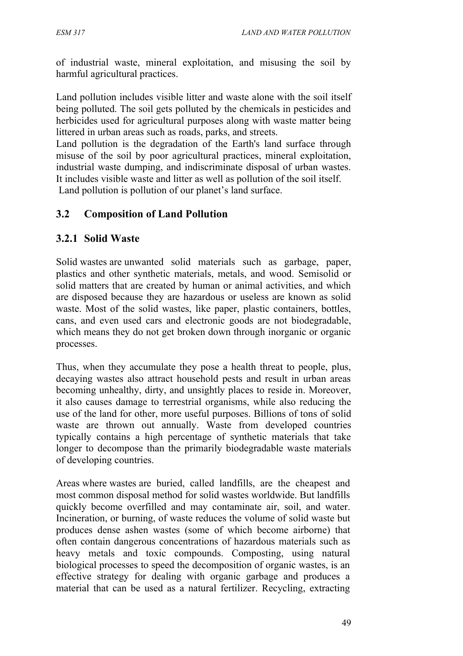of industrial waste, mineral exploitation, and misusing the soil by harmful agricultural practices.

Land pollution includes visible litter and waste alone with the soil itself being polluted. The soil gets polluted by the chemicals in pesticides and herbicides used for agricultural purposes along with waste matter being littered in urban areas such as roads, parks, and streets.

Land pollution is the degradation of the Earth's land surface through misuse of the soil by poor agricultural practices, mineral exploitation, industrial waste dumping, and indiscriminate disposal of urban wastes. It includes visible waste and litter as well as pollution of the soil itself. Land pollution is pollution of our planet's land surface.

## **3.2 Composition of Land Pollution**

### **3.2.1 Solid Waste**

Solid wastes are unwanted solid materials such as garbage, paper, plastics and other synthetic materials, metals, and wood. Semisolid or solid matters that are created by human or animal activities, and which are disposed because they are hazardous or useless are known as solid waste. Most of the solid wastes, like paper, plastic containers, bottles, cans, and even used cars and electronic goods are not biodegradable, which means they do not get broken down through inorganic or organic processes.

Thus, when they accumulate they pose a health threat to people, plus, decaying wastes also attract household pests and result in urban areas becoming unhealthy, dirty, and unsightly places to reside in. Moreover, it also causes damage to terrestrial organisms, while also reducing the use of the land for other, more useful purposes. Billions of tons of solid waste are thrown out annually. Waste from developed countries typically contains a high percentage of synthetic materials that take longer to decompose than the primarily biodegradable waste materials of developing countries.

Areas where wastes are buried, called landfills, are the cheapest and most common disposal method for solid wastes worldwide. But landfills quickly become overfilled and may contaminate air, soil, and water. Incineration, or burning, of waste reduces the volume of solid waste but produces dense ashen wastes (some of which become airborne) that often contain dangerous concentrations of hazardous materials such as heavy metals and toxic compounds. Composting, using natural biological processes to speed the decomposition of organic wastes, is an effective strategy for dealing with organic garbage and produces a material that can be used as a natural fertilizer. Recycling, extracting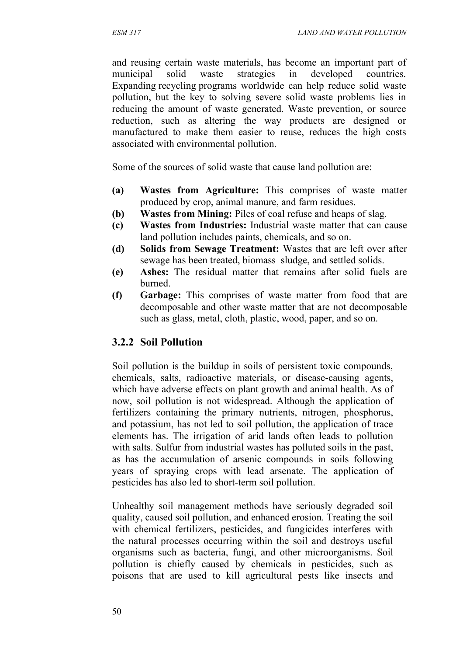and reusing certain waste materials, has become an important part of municipal solid waste strategies in developed countries. Expanding recycling programs worldwide can help reduce solid waste pollution, but the key to solving severe solid waste problems lies in reducing the amount of waste generated. Waste prevention, or source reduction, such as altering the way products are designed or manufactured to make them easier to reuse, reduces the high costs associated with environmental pollution.

Some of the sources of solid waste that cause land pollution are:

- **(a) Wastes from Agriculture:** This comprises of waste matter produced by crop, animal manure, and farm residues.
- **(b) Wastes from Mining:** Piles of coal refuse and heaps of slag.
- **(c) Wastes from Industries:** Industrial waste matter that can cause land pollution includes paints, chemicals, and so on.
- **(d) Solids from Sewage Treatment:** Wastes that are left over after sewage has been treated, biomass sludge, and settled solids.
- **(e) Ashes:** The residual matter that remains after solid fuels are burned.
- **(f) Garbage:** This comprises of waste matter from food that are decomposable and other waste matter that are not decomposable such as glass, metal, cloth, plastic, wood, paper, and so on.

#### **3.2.2 Soil Pollution**

Soil pollution is the buildup in soils of persistent toxic compounds, chemicals, salts, radioactive materials, or disease-causing agents, which have adverse effects on plant growth and animal health. As of now, soil pollution is not widespread. Although the application of fertilizers containing the primary nutrients, nitrogen, phosphorus, and potassium, has not led to soil pollution, the application of trace elements has. The irrigation of arid lands often leads to pollution with salts. Sulfur from industrial wastes has polluted soils in the past, as has the accumulation of arsenic compounds in soils following years of spraying crops with lead arsenate. The application of pesticides has also led to short-term soil pollution.

Unhealthy soil management methods have seriously degraded soil quality, caused soil pollution, and enhanced erosion. Treating the soil with chemical fertilizers, pesticides, and fungicides interferes with the natural processes occurring within the soil and destroys useful organisms such as bacteria, fungi, and other microorganisms. Soil pollution is chiefly caused by chemicals in pesticides, such as poisons that are used to kill agricultural pests like insects and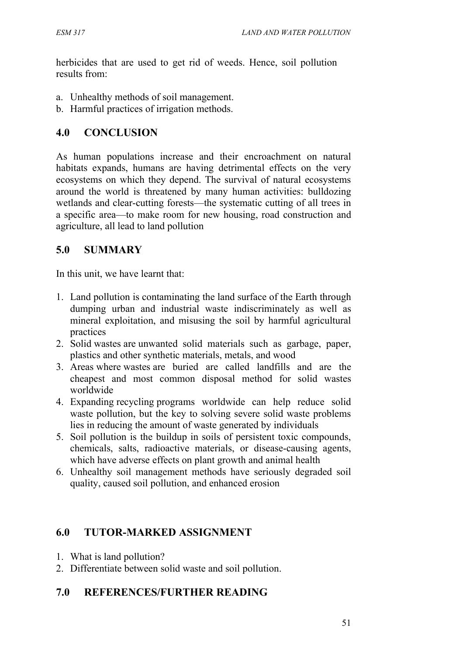herbicides that are used to get rid of weeds. Hence, soil pollution results from:

- a. Unhealthy methods of soil management.
- b. Harmful practices of irrigation methods.

## **4.0 CONCLUSION**

As human populations increase and their encroachment on natural habitats expands, humans are having detrimental effects on the very ecosystems on which they depend. The survival of natural ecosystems around the world is threatened by many human activities: bulldozing wetlands and clear-cutting forests—the systematic cutting of all trees in a specific area—to make room for new housing, road construction and agriculture, all lead to land pollution

# **5.0 SUMMARY**

In this unit, we have learnt that:

- 1. Land pollution is contaminating the land surface of the Earth through dumping urban and industrial waste indiscriminately as well as mineral exploitation, and misusing the soil by harmful agricultural practices
- 2. Solid wastes are unwanted solid materials such as garbage, paper, plastics and other synthetic materials, metals, and wood
- 3. Areas where wastes are buried are called landfills and are the cheapest and most common disposal method for solid wastes worldwide
- 4. Expanding recycling programs worldwide can help reduce solid waste pollution, but the key to solving severe solid waste problems lies in reducing the amount of waste generated by individuals
- 5. Soil pollution is the buildup in soils of persistent toxic compounds, chemicals, salts, radioactive materials, or disease-causing agents, which have adverse effects on plant growth and animal health
- 6. Unhealthy soil management methods have seriously degraded soil quality, caused soil pollution, and enhanced erosion

# **6.0 TUTOR-MARKED ASSIGNMENT**

- 1. What is land pollution?
- 2. Differentiate between solid waste and soil pollution.

# **7.0 REFERENCES/FURTHER READING**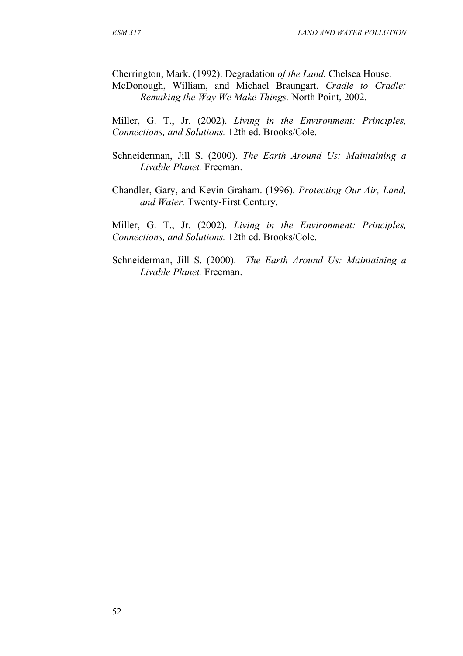Cherrington, Mark. (1992). Degradation *of the Land.* Chelsea House.

McDonough, William, and Michael Braungart. *Cradle to Cradle: Remaking the Way We Make Things.* North Point, 2002.

Miller, G. T., Jr. (2002). *Living in the Environment: Principles, Connections, and Solutions.* 12th ed. Brooks/Cole.

- Schneiderman, Jill S. (2000). *The Earth Around Us: Maintaining a Livable Planet.* Freeman.
- Chandler, Gary, and Kevin Graham. (1996). *Protecting Our Air, Land, and Water.* Twenty-First Century.

Miller, G. T., Jr. (2002). *Living in the Environment: Principles, Connections, and Solutions.* 12th ed. Brooks/Cole.

Schneiderman, Jill S. (2000). *The Earth Around Us: Maintaining a Livable Planet.* Freeman.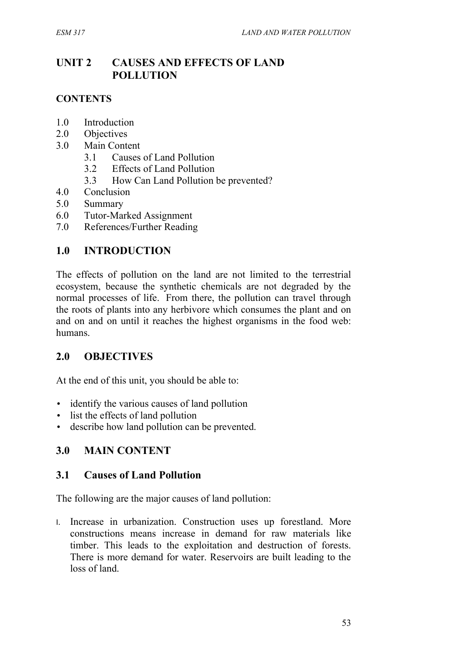## **UNIT 2 CAUSES AND EFFECTS OF LAND POLLUTION**

### **CONTENTS**

- 1.0 Introduction
- 2.0 Objectives
- 3.0 Main Content
	- 3.1 Causes of Land Pollution
	- 3.2 Effects of Land Pollution
	- 3.3 How Can Land Pollution be prevented?
- 4.0 Conclusion
- 5.0 Summary
- 6.0 Tutor-Marked Assignment
- 7.0 References/Further Reading

## **1.0 INTRODUCTION**

The effects of pollution on the land are not limited to the terrestrial ecosystem, because the synthetic chemicals are not degraded by the normal processes of life. From there, the pollution can travel through the roots of plants into any herbivore which consumes the plant and on and on and on until it reaches the highest organisms in the food web: humans.

### **2.0 OBJECTIVES**

At the end of this unit, you should be able to:

- identify the various causes of land pollution
- list the effects of land pollution
- describe how land pollution can be prevented.

# **3.0 MAIN CONTENT**

### **3.1 Causes of Land Pollution**

The following are the major causes of land pollution:

I. Increase in urbanization. Construction uses up forestland. More constructions means increase in demand for raw materials like timber. This leads to the exploitation and destruction of forests. There is more demand for water. Reservoirs are built leading to the loss of land.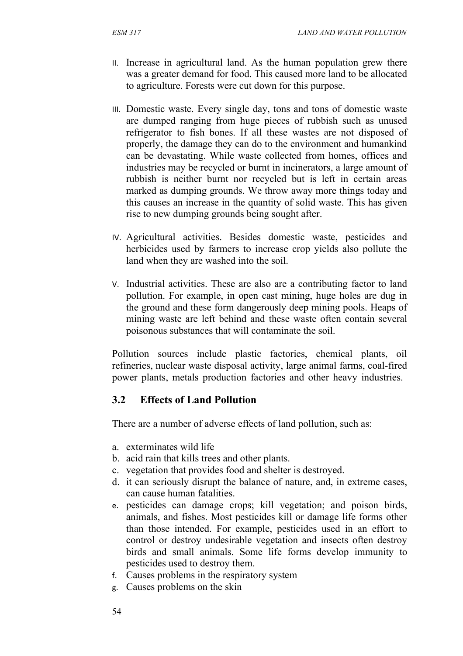- II. Increase in agricultural land. As the human population grew there was a greater demand for food. This caused more land to be allocated to agriculture. Forests were cut down for this purpose.
- III. Domestic waste. Every single day, tons and tons of domestic waste are dumped ranging from huge pieces of rubbish such as unused refrigerator to fish bones. If all these wastes are not disposed of properly, the damage they can do to the environment and humankind can be devastating. While waste collected from homes, offices and industries may be recycled or burnt in incinerators, a large amount of rubbish is neither burnt nor recycled but is left in certain areas marked as dumping grounds. We throw away more things today and this causes an increase in the quantity of solid waste. This has given rise to new dumping grounds being sought after.
- IV. Agricultural activities. Besides domestic waste, pesticides and herbicides used by farmers to increase crop yields also pollute the land when they are washed into the soil.
- V. Industrial activities. These are also are a contributing factor to land pollution. For example, in open cast mining, huge holes are dug in the ground and these form dangerously deep mining pools. Heaps of mining waste are left behind and these waste often contain several poisonous substances that will contaminate the soil.

Pollution sources include plastic factories, chemical plants, oil refineries, nuclear waste disposal activity, large animal farms, coal-fired power plants, metals production factories and other heavy industries.

# **3.2 Effects of Land Pollution**

There are a number of adverse effects of land pollution, such as:

- a. exterminates wild life
- b. acid rain that kills trees and other plants.
- c. vegetation that provides food and shelter is destroyed.
- d. it can seriously disrupt the balance of nature, and, in extreme cases, can cause human fatalities.
- e. pesticides can damage crops; kill vegetation; and poison birds, animals, and fishes. Most pesticides kill or damage life forms other than those intended. For example, pesticides used in an effort to control or destroy undesirable vegetation and insects often destroy birds and small animals. Some life forms develop immunity to pesticides used to destroy them.
- f. Causes problems in the respiratory system
- g. Causes problems on the skin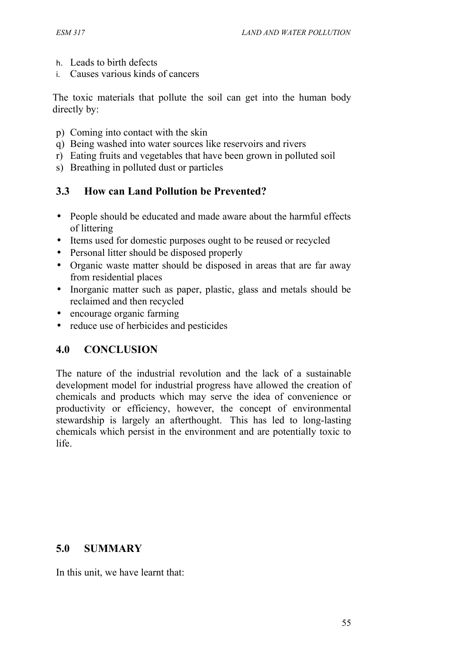- h. Leads to birth defects
- i. Causes various kinds of cancers

The toxic materials that pollute the soil can get into the human body directly by:

- p) Coming into contact with the skin
- q) Being washed into water sources like reservoirs and rivers
- r) Eating fruits and vegetables that have been grown in polluted soil
- s) Breathing in polluted dust or particles

## **3.3 How can Land Pollution be Prevented?**

- People should be educated and made aware about the harmful effects of littering
- Items used for domestic purposes ought to be reused or recycled
- Personal litter should be disposed properly
- Organic waste matter should be disposed in areas that are far away from residential places
- Inorganic matter such as paper, plastic, glass and metals should be reclaimed and then recycled
- encourage organic farming
- reduce use of herbicides and pesticides

# **4.0 CONCLUSION**

The nature of the industrial revolution and the lack of a sustainable development model for industrial progress have allowed the creation of chemicals and products which may serve the idea of convenience or productivity or efficiency, however, the concept of environmental stewardship is largely an afterthought. This has led to long-lasting chemicals which persist in the environment and are potentially toxic to life.

### **5.0 SUMMARY**

In this unit, we have learnt that: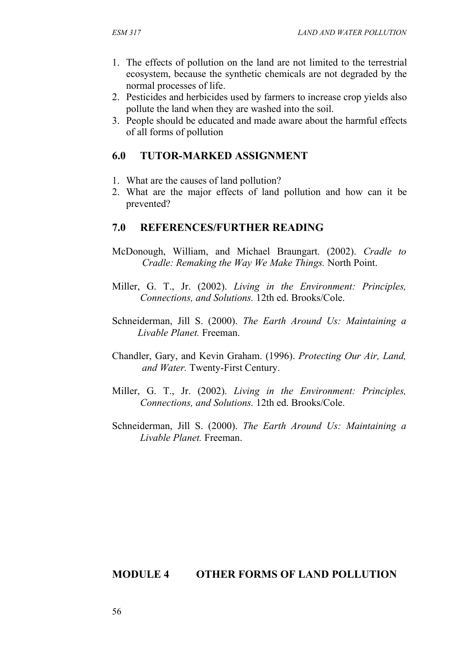- 1. The effects of pollution on the land are not limited to the terrestrial ecosystem, because the synthetic chemicals are not degraded by the normal processes of life.
- 2. Pesticides and herbicides used by farmers to increase crop yields also pollute the land when they are washed into the soil.
- 3. People should be educated and made aware about the harmful effects of all forms of pollution

### **6.0 TUTOR-MARKED ASSIGNMENT**

- 1. What are the causes of land pollution?
- 2. What are the major effects of land pollution and how can it be prevented?

## **7.0 REFERENCES/FURTHER READING**

- McDonough, William, and Michael Braungart. (2002). *Cradle to Cradle: Remaking the Way We Make Things.* North Point.
- Miller, G. T., Jr. (2002). *Living in the Environment: Principles, Connections, and Solutions.* 12th ed. Brooks/Cole.
- Schneiderman, Jill S. (2000). *The Earth Around Us: Maintaining a Livable Planet.* Freeman.
- Chandler, Gary, and Kevin Graham. (1996). *Protecting Our Air, Land, and Water.* Twenty-First Century.
- Miller, G. T., Jr. (2002). *Living in the Environment: Principles, Connections, and Solutions.* 12th ed. Brooks/Cole.
- Schneiderman, Jill S. (2000). *The Earth Around Us: Maintaining a Livable Planet.* Freeman.

### **MODULE 4 OTHER FORMS OF LAND POLLUTION**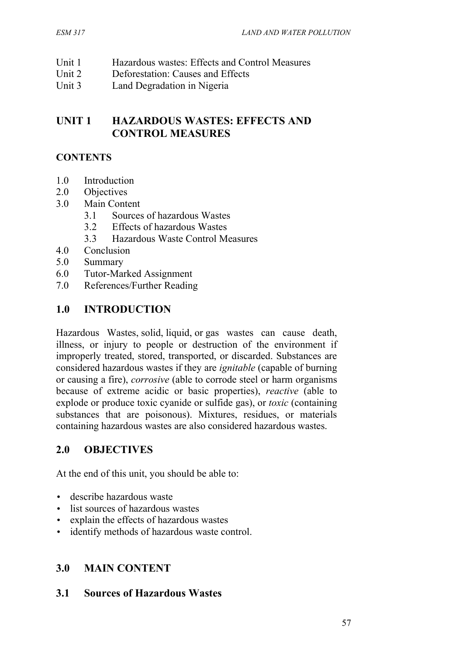- Unit 1 Hazardous wastes: Effects and Control Measures
- Unit 2 Deforestation: Causes and Effects
- Unit 3 Land Degradation in Nigeria

### **UNIT 1 HAZARDOUS WASTES: EFFECTS AND CONTROL MEASURES**

#### **CONTENTS**

- 1.0 Introduction
- 2.0 Objectives
- 3.0 Main Content
	- 3.1 Sources of hazardous Wastes
	- 3.2 Effects of hazardous Wastes
	- 3.3 Hazardous Waste Control Measures
- 4.0 Conclusion
- 5.0 Summary
- 6.0 Tutor-Marked Assignment
- 7.0 References/Further Reading

### **1.0 INTRODUCTION**

Hazardous Wastes, solid, liquid, or gas wastes can cause death, illness, or injury to people or destruction of the environment if improperly treated, stored, transported, or discarded. Substances are considered hazardous wastes if they are *ignitable* (capable of burning or causing a fire), *corrosive* (able to corrode steel or harm organisms because of extreme acidic or basic properties), *reactive* (able to explode or produce toxic cyanide or sulfide gas), or *toxic* (containing substances that are poisonous). Mixtures, residues, or materials containing hazardous wastes are also considered hazardous wastes.

#### **2.0 OBJECTIVES**

At the end of this unit, you should be able to:

- describe hazardous waste
- list sources of hazardous wastes
- explain the effects of hazardous wastes
- identify methods of hazardous waste control.

### **3.0 MAIN CONTENT**

#### **3.1 Sources of Hazardous Wastes**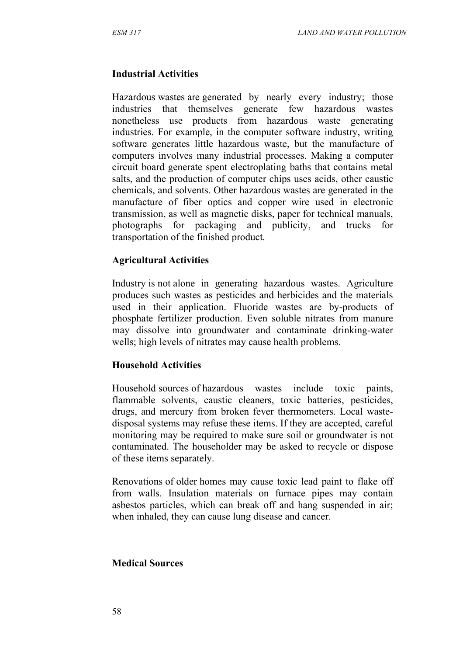#### **Industrial Activities**

Hazardous wastes are generated by nearly every industry; those industries that themselves generate few hazardous wastes nonetheless use products from hazardous waste generating industries. For example, in the computer software industry, writing software generates little hazardous waste, but the manufacture of computers involves many industrial processes. Making a computer circuit board generate spent electroplating baths that contains metal salts, and the production of computer chips uses acids, other caustic chemicals, and solvents. Other hazardous wastes are generated in the manufacture of fiber optics and copper wire used in electronic transmission, as well as magnetic disks, paper for technical manuals, photographs for packaging and publicity, and trucks for transportation of the finished product.

#### **Agricultural Activities**

Industry is not alone in generating hazardous wastes. Agriculture produces such wastes as pesticides and herbicides and the materials used in their application. Fluoride wastes are by-products of phosphate fertilizer production. Even soluble nitrates from manure may dissolve into groundwater and contaminate drinking-water wells; high levels of nitrates may cause health problems.

#### **Household Activities**

Household sources of hazardous wastes include toxic paints, flammable solvents, caustic cleaners, toxic batteries, pesticides, drugs, and mercury from broken fever thermometers. Local wastedisposal systems may refuse these items. If they are accepted, careful monitoring may be required to make sure soil or groundwater is not contaminated. The householder may be asked to recycle or dispose of these items separately.

Renovations of older homes may cause toxic lead paint to flake off from walls. Insulation materials on furnace pipes may contain asbestos particles, which can break off and hang suspended in air; when inhaled, they can cause lung disease and cancer.

#### **Medical Sources**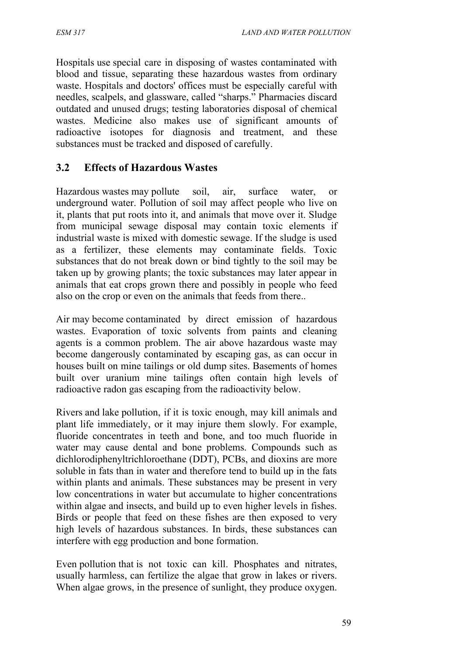Hospitals use special care in disposing of wastes contaminated with blood and tissue, separating these hazardous wastes from ordinary waste. Hospitals and doctors' offices must be especially careful with needles, scalpels, and glassware, called "sharps." Pharmacies discard outdated and unused drugs; testing laboratories disposal of chemical wastes. Medicine also makes use of significant amounts of radioactive isotopes for diagnosis and treatment, and these substances must be tracked and disposed of carefully.

### **3.2 Effects of Hazardous Wastes**

Hazardous wastes may pollute soil, air, surface water, or underground water. Pollution of soil may affect people who live on it, plants that put roots into it, and animals that move over it. Sludge from municipal sewage disposal may contain toxic elements if industrial waste is mixed with domestic sewage. If the sludge is used as a fertilizer, these elements may contaminate fields. Toxic substances that do not break down or bind tightly to the soil may be taken up by growing plants; the toxic substances may later appear in animals that eat crops grown there and possibly in people who feed also on the crop or even on the animals that feeds from there..

Air may become contaminated by direct emission of hazardous wastes. Evaporation of toxic solvents from paints and cleaning agents is a common problem. The air above hazardous waste may become dangerously contaminated by escaping gas, as can occur in houses built on mine tailings or old dump sites. Basements of homes built over uranium mine tailings often contain high levels of radioactive radon gas escaping from the radioactivity below.

Rivers and lake pollution, if it is toxic enough, may kill animals and plant life immediately, or it may injure them slowly. For example, fluoride concentrates in teeth and bone, and too much fluoride in water may cause dental and bone problems. Compounds such as dichlorodiphenyltrichloroethane (DDT), PCBs, and dioxins are more soluble in fats than in water and therefore tend to build up in the fats within plants and animals. These substances may be present in very low concentrations in water but accumulate to higher concentrations within algae and insects, and build up to even higher levels in fishes. Birds or people that feed on these fishes are then exposed to very high levels of hazardous substances. In birds, these substances can interfere with egg production and bone formation.

Even pollution that is not toxic can kill. Phosphates and nitrates, usually harmless, can fertilize the algae that grow in lakes or rivers. When algae grows, in the presence of sunlight, they produce oxygen.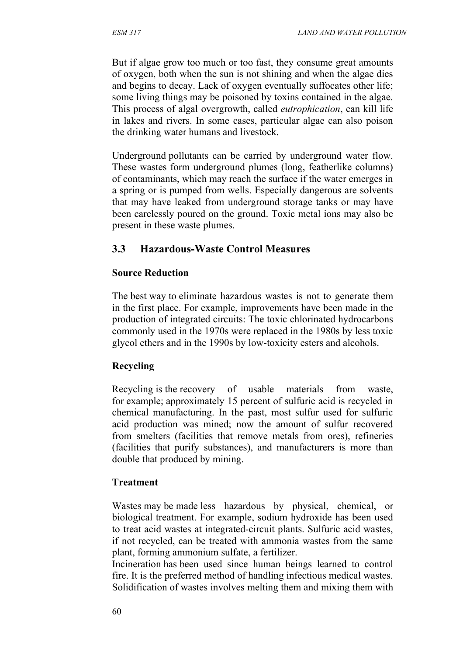But if algae grow too much or too fast, they consume great amounts of oxygen, both when the sun is not shining and when the algae dies and begins to decay. Lack of oxygen eventually suffocates other life; some living things may be poisoned by toxins contained in the algae. This process of algal overgrowth, called *eutrophication*, can kill life in lakes and rivers. In some cases, particular algae can also poison the drinking water humans and livestock.

Underground pollutants can be carried by underground water flow. These wastes form underground plumes (long, featherlike columns) of contaminants, which may reach the surface if the water emerges in a spring or is pumped from wells. Especially dangerous are solvents that may have leaked from underground storage tanks or may have been carelessly poured on the ground. Toxic metal ions may also be present in these waste plumes.

#### **3.3 Hazardous-Waste Control Measures**

#### **Source Reduction**

The best way to eliminate hazardous wastes is not to generate them in the first place. For example, improvements have been made in the production of integrated circuits: The toxic chlorinated hydrocarbons commonly used in the 1970s were replaced in the 1980s by less toxic glycol ethers and in the 1990s by low-toxicity esters and alcohols.

#### **Recycling**

Recycling is the recovery of usable materials from waste, for example; approximately 15 percent of sulfuric acid is recycled in chemical manufacturing. In the past, most sulfur used for sulfuric acid production was mined; now the amount of sulfur recovered from smelters (facilities that remove metals from ores), refineries (facilities that purify substances), and manufacturers is more than double that produced by mining.

#### **Treatment**

Wastes may be made less hazardous by physical, chemical, or biological treatment. For example, sodium hydroxide has been used to treat acid wastes at integrated-circuit plants. Sulfuric acid wastes, if not recycled, can be treated with ammonia wastes from the same plant, forming ammonium sulfate, a fertilizer.

Incineration has been used since human beings learned to control fire. It is the preferred method of handling infectious medical wastes. Solidification of wastes involves melting them and mixing them with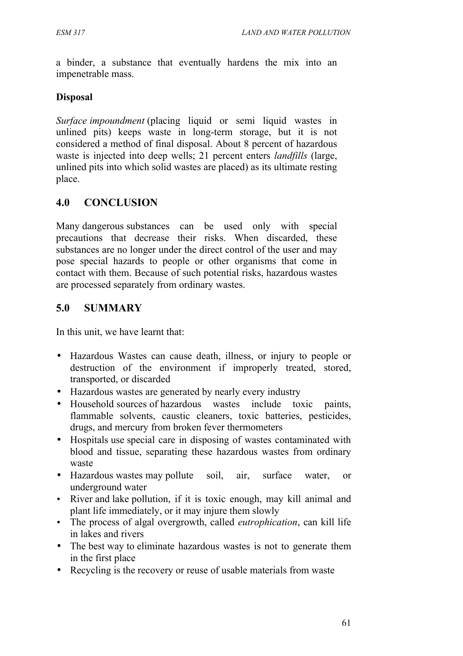a binder, a substance that eventually hardens the mix into an impenetrable mass.

#### **Disposal**

*Surface impoundment* (placing liquid or semi liquid wastes in unlined pits) keeps waste in long-term storage, but it is not considered a method of final disposal. About 8 percent of hazardous waste is injected into deep wells; 21 percent enters *landfills* (large, unlined pits into which solid wastes are placed) as its ultimate resting place.

### **4.0 CONCLUSION**

Many dangerous substances can be used only with special precautions that decrease their risks. When discarded, these substances are no longer under the direct control of the user and may pose special hazards to people or other organisms that come in contact with them. Because of such potential risks, hazardous wastes are processed separately from ordinary wastes.

### **5.0 SUMMARY**

In this unit, we have learnt that:

- Hazardous Wastes can cause death, illness, or injury to people or destruction of the environment if improperly treated, stored, transported, or discarded
- Hazardous wastes are generated by nearly every industry
- Household sources of hazardous wastes include toxic paints, flammable solvents, caustic cleaners, toxic batteries, pesticides, drugs, and mercury from broken fever thermometers
- Hospitals use special care in disposing of wastes contaminated with blood and tissue, separating these hazardous wastes from ordinary waste
- Hazardous wastes may pollute soil, air, surface water, or underground water
- River and lake pollution, if it is toxic enough, may kill animal and plant life immediately, or it may injure them slowly
- The process of algal overgrowth, called *eutrophication*, can kill life in lakes and rivers
- The best way to eliminate hazardous wastes is not to generate them in the first place
- Recycling is the recovery or reuse of usable materials from waste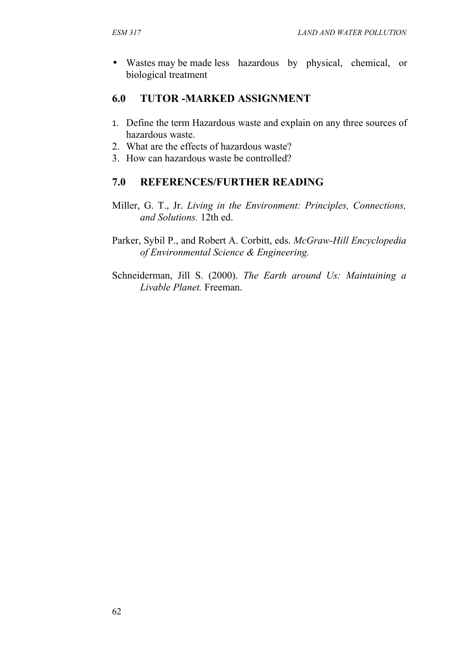• Wastes may be made less hazardous by physical, chemical, or biological treatment

# **6.0 TUTOR -MARKED ASSIGNMENT**

- 1. Define the term Hazardous waste and explain on any three sources of hazardous waste.
- 2. What are the effects of hazardous waste?
- 3. How can hazardous waste be controlled?

### **7.0 REFERENCES/FURTHER READING**

- Miller, G. T., Jr. *Living in the Environment: Principles, Connections, and Solutions.* 12th ed.
- Parker, Sybil P., and Robert A. Corbitt, eds. *McGraw-Hill Encyclopedia of Environmental Science & Engineering.*
- Schneiderman, Jill S. (2000). *The Earth around Us: Maintaining a Livable Planet.* Freeman.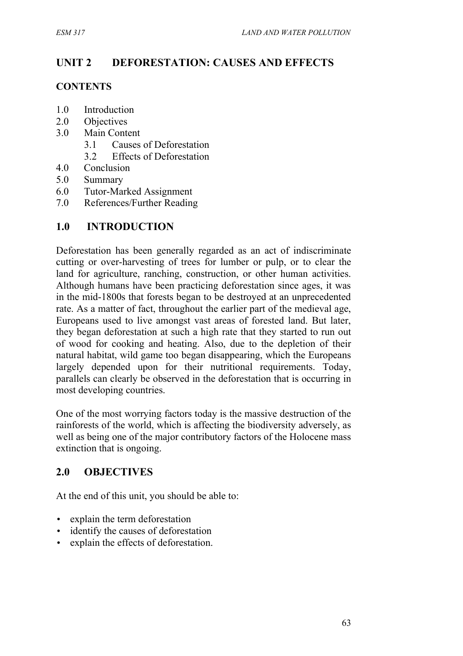# **UNIT 2 DEFORESTATION: CAUSES AND EFFECTS**

#### **CONTENTS**

- 1.0 Introduction
- 2.0 Objectives
- 3.0 Main Content
	- 3.1 Causes of Deforestation
	- 3.2 Effects of Deforestation
- 4.0 Conclusion
- 5.0 Summary
- 6.0 Tutor-Marked Assignment
- 7.0 References/Further Reading

# **1.0 INTRODUCTION**

Deforestation has been generally regarded as an act of indiscriminate cutting or over-harvesting of trees for lumber or pulp, or to clear the land for agriculture, ranching, construction, or other human activities. Although humans have been practicing deforestation since ages, it was in the mid-1800s that forests began to be destroyed at an unprecedented rate. As a matter of fact, throughout the earlier part of the medieval age, Europeans used to live amongst vast areas of forested land. But later, they began deforestation at such a high rate that they started to run out of wood for cooking and heating. Also, due to the depletion of their natural habitat, wild game too began disappearing, which the Europeans largely depended upon for their nutritional requirements. Today, parallels can clearly be observed in the deforestation that is occurring in most developing countries.

One of the most worrying factors today is the massive destruction of the rainforests of the world, which is affecting the biodiversity adversely, as well as being one of the major contributory factors of the Holocene mass extinction that is ongoing.

### **2.0 OBJECTIVES**

At the end of this unit, you should be able to:

- explain the term deforestation
- identify the causes of deforestation
- explain the effects of deforestation.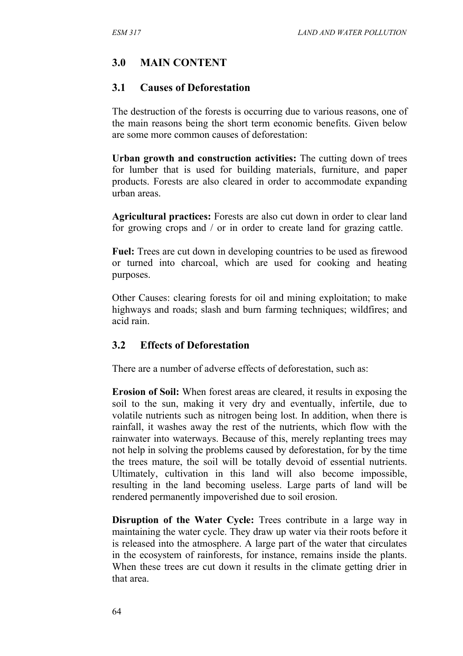# **3.0 MAIN CONTENT**

### **3.1 Causes of Deforestation**

The destruction of the forests is occurring due to various reasons, one of the main reasons being the short term economic benefits. Given below are some more common causes of deforestation:

**Urban growth and construction activities:** The cutting down of trees for lumber that is used for building materials, furniture, and paper products. Forests are also cleared in order to accommodate expanding urban areas.

**Agricultural practices:** Forests are also cut down in order to clear land for growing crops and / or in order to create land for grazing cattle.

**Fuel:** Trees are cut down in developing countries to be used as firewood or turned into charcoal, which are used for cooking and heating purposes.

Other Causes: clearing forests for oil and mining exploitation; to make highways and roads; slash and burn farming techniques; wildfires; and acid rain.

### **3.2 Effects of Deforestation**

There are a number of adverse effects of deforestation, such as:

**Erosion of Soil:** When forest areas are cleared, it results in exposing the soil to the sun, making it very dry and eventually, infertile, due to volatile nutrients such as nitrogen being lost. In addition, when there is rainfall, it washes away the rest of the nutrients, which flow with the rainwater into waterways. Because of this, merely replanting trees may not help in solving the problems caused by deforestation, for by the time the trees mature, the soil will be totally devoid of essential nutrients. Ultimately, cultivation in this land will also become impossible, resulting in the land becoming useless. Large parts of land will be rendered permanently impoverished due to soil erosion.

**Disruption of the Water Cycle:** Trees contribute in a large way in maintaining the water cycle. They draw up water via their roots before it is released into the atmosphere. A large part of the water that circulates in the ecosystem of rainforests, for instance, remains inside the plants. When these trees are cut down it results in the climate getting drier in that area.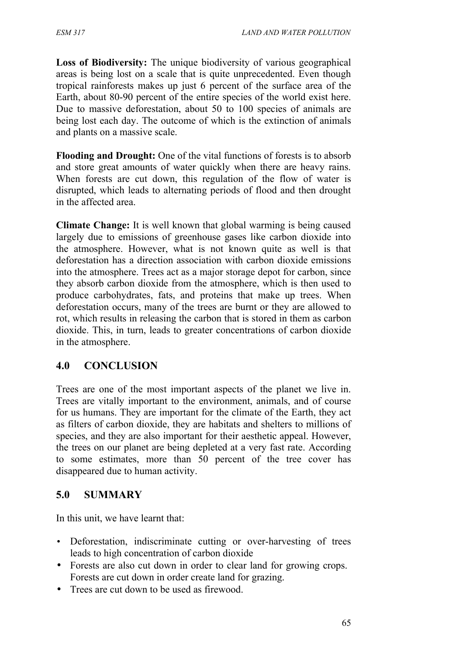**Loss of Biodiversity:** The unique biodiversity of various geographical areas is being lost on a scale that is quite unprecedented. Even though tropical rainforests makes up just 6 percent of the surface area of the Earth, about 80-90 percent of the entire species of the world exist here. Due to massive deforestation, about 50 to 100 species of animals are being lost each day. The outcome of which is the extinction of animals and plants on a massive scale.

**Flooding and Drought:** One of the vital functions of forests is to absorb and store great amounts of water quickly when there are heavy rains. When forests are cut down, this regulation of the flow of water is disrupted, which leads to alternating periods of flood and then drought in the affected area.

**Climate Change:** It is well known that global warming is being caused largely due to emissions of greenhouse gases like carbon dioxide into the atmosphere. However, what is not known quite as well is that deforestation has a direction association with carbon dioxide emissions into the atmosphere. Trees act as a major storage depot for carbon, since they absorb carbon dioxide from the atmosphere, which is then used to produce carbohydrates, fats, and proteins that make up trees. When deforestation occurs, many of the trees are burnt or they are allowed to rot, which results in releasing the carbon that is stored in them as carbon dioxide. This, in turn, leads to greater concentrations of carbon dioxide in the atmosphere.

# **4.0 CONCLUSION**

Trees are one of the most important aspects of the planet we live in. Trees are vitally important to the environment, animals, and of course for us humans. They are important for the climate of the Earth, they act as filters of carbon dioxide, they are habitats and shelters to millions of species, and they are also important for their aesthetic appeal. However, the trees on our planet are being depleted at a very fast rate. According to some estimates, more than 50 percent of the tree cover has disappeared due to human activity.

# **5.0 SUMMARY**

In this unit, we have learnt that:

- Deforestation, indiscriminate cutting or over-harvesting of trees leads to high concentration of carbon dioxide
- Forests are also cut down in order to clear land for growing crops. Forests are cut down in order create land for grazing.
- Trees are cut down to be used as firewood.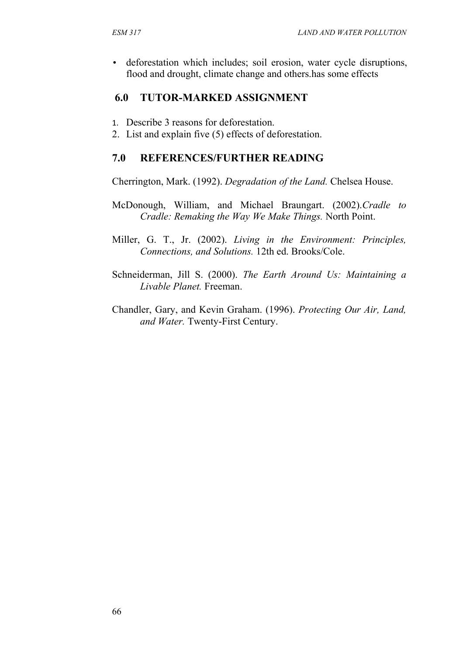• deforestation which includes; soil erosion, water cycle disruptions, flood and drought, climate change and others.has some effects

# **6.0 TUTOR-MARKED ASSIGNMENT**

- 1. Describe 3 reasons for deforestation.
- 2. List and explain five (5) effects of deforestation.

# **7.0 REFERENCES/FURTHER READING**

Cherrington, Mark. (1992). *Degradation of the Land.* Chelsea House.

- McDonough, William, and Michael Braungart. (2002).*Cradle to Cradle: Remaking the Way We Make Things.* North Point.
- Miller, G. T., Jr. (2002). *Living in the Environment: Principles, Connections, and Solutions.* 12th ed. Brooks/Cole.
- Schneiderman, Jill S. (2000). *The Earth Around Us: Maintaining a Livable Planet.* Freeman.
- Chandler, Gary, and Kevin Graham. (1996). *Protecting Our Air, Land, and Water.* Twenty-First Century.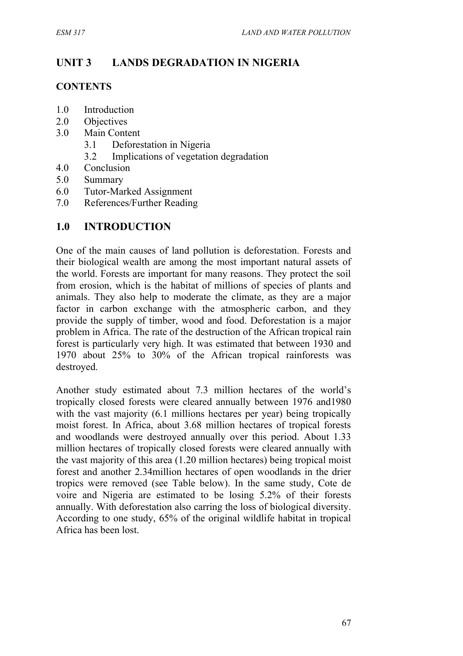# **UNIT 3 LANDS DEGRADATION IN NIGERIA**

#### **CONTENTS**

- 1.0 Introduction
- 2.0 Objectives
- 3.0 Main Content
	- 3.1 Deforestation in Nigeria
	- 3.2 Implications of vegetation degradation
- 4.0 Conclusion
- 5.0 Summary
- 6.0 Tutor-Marked Assignment
- 7.0 References/Further Reading

### **1.0 INTRODUCTION**

One of the main causes of land pollution is deforestation. Forests and their biological wealth are among the most important natural assets of the world. Forests are important for many reasons. They protect the soil from erosion, which is the habitat of millions of species of plants and animals. They also help to moderate the climate, as they are a major factor in carbon exchange with the atmospheric carbon, and they provide the supply of timber, wood and food. Deforestation is a major problem in Africa. The rate of the destruction of the African tropical rain forest is particularly very high. It was estimated that between 1930 and 1970 about 25% to 30% of the African tropical rainforests was destroyed.

Another study estimated about 7.3 million hectares of the world's tropically closed forests were cleared annually between 1976 and1980 with the vast majority (6.1 millions hectares per year) being tropically moist forest. In Africa, about 3.68 million hectares of tropical forests and woodlands were destroyed annually over this period. About 1.33 million hectares of tropically closed forests were cleared annually with the vast majority of this area (1.20 million hectares) being tropical moist forest and another 2.34million hectares of open woodlands in the drier tropics were removed (see Table below). In the same study, Cote de voire and Nigeria are estimated to be losing 5.2% of their forests annually. With deforestation also carring the loss of biological diversity. According to one study, 65% of the original wildlife habitat in tropical Africa has been lost.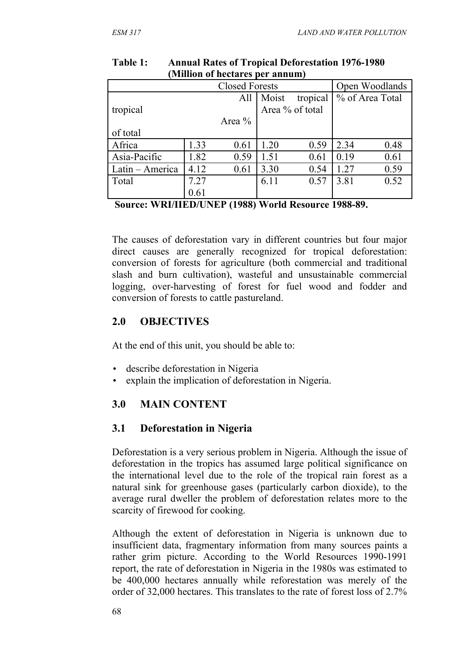| <b>Closed Forests</b> |      |          |                 | Open Woodlands |      |                 |
|-----------------------|------|----------|-----------------|----------------|------|-----------------|
|                       |      | All      | Moist           | tropical       |      | % of Area Total |
| tropical              |      |          | Area % of total |                |      |                 |
|                       |      | Area $%$ |                 |                |      |                 |
| of total              |      |          |                 |                |      |                 |
| Africa                | 1.33 | 0.61     | 1.20            | 0.59           | 2.34 | 0.48            |
| Asia-Pacific          | 1.82 | 0.59     | 1.51            | 0.61           | 0.19 | 0.61            |
| Latin - America       | 4.12 | 0.61     | 3.30            | 0.54           | 1.27 | 0.59            |
| Total                 | 7.27 |          | 6.11            | 0.57           | 3.81 | 0.52            |
|                       | 0.61 |          |                 |                |      |                 |

**Table 1: Annual Rates of Tropical Deforestation 1976-1980 (Million of hectares per annum)**

 **Source: WRI/IIED/UNEP (1988) World Resource 1988-89.**

The causes of deforestation vary in different countries but four major direct causes are generally recognized for tropical deforestation: conversion of forests for agriculture (both commercial and traditional slash and burn cultivation), wasteful and unsustainable commercial logging, over-harvesting of forest for fuel wood and fodder and conversion of forests to cattle pastureland.

### **2.0 OBJECTIVES**

At the end of this unit, you should be able to:

- describe deforestation in Nigeria
- explain the implication of deforestation in Nigeria.

# **3.0 MAIN CONTENT**

### **3.1 Deforestation in Nigeria**

Deforestation is a very serious problem in Nigeria. Although the issue of deforestation in the tropics has assumed large political significance on the international level due to the role of the tropical rain forest as a natural sink for greenhouse gases (particularly carbon dioxide), to the average rural dweller the problem of deforestation relates more to the scarcity of firewood for cooking.

Although the extent of deforestation in Nigeria is unknown due to insufficient data, fragmentary information from many sources paints a rather grim picture. According to the World Resources 1990-1991 report, the rate of deforestation in Nigeria in the 1980s was estimated to be 400,000 hectares annually while reforestation was merely of the order of 32,000 hectares. This translates to the rate of forest loss of 2.7%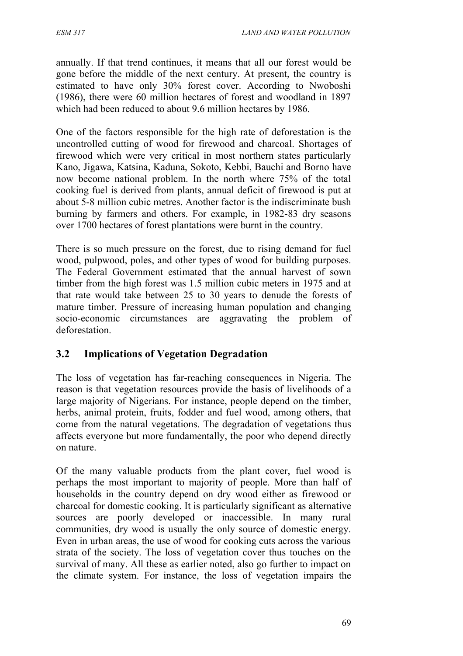annually. If that trend continues, it means that all our forest would be gone before the middle of the next century. At present, the country is estimated to have only 30% forest cover. According to Nwoboshi (1986), there were 60 million hectares of forest and woodland in 1897 which had been reduced to about 9.6 million hectares by 1986.

One of the factors responsible for the high rate of deforestation is the uncontrolled cutting of wood for firewood and charcoal. Shortages of firewood which were very critical in most northern states particularly Kano, Jigawa, Katsina, Kaduna, Sokoto, Kebbi, Bauchi and Borno have now become national problem. In the north where 75% of the total cooking fuel is derived from plants, annual deficit of firewood is put at about 5-8 million cubic metres. Another factor is the indiscriminate bush burning by farmers and others. For example, in 1982-83 dry seasons over 1700 hectares of forest plantations were burnt in the country.

There is so much pressure on the forest, due to rising demand for fuel wood, pulpwood, poles, and other types of wood for building purposes. The Federal Government estimated that the annual harvest of sown timber from the high forest was 1.5 million cubic meters in 1975 and at that rate would take between 25 to 30 years to denude the forests of mature timber. Pressure of increasing human population and changing socio-economic circumstances are aggravating the problem of deforestation.

# **3.2 Implications of Vegetation Degradation**

The loss of vegetation has far-reaching consequences in Nigeria. The reason is that vegetation resources provide the basis of livelihoods of a large majority of Nigerians. For instance, people depend on the timber, herbs, animal protein, fruits, fodder and fuel wood, among others, that come from the natural vegetations. The degradation of vegetations thus affects everyone but more fundamentally, the poor who depend directly on nature.

Of the many valuable products from the plant cover, fuel wood is perhaps the most important to majority of people. More than half of households in the country depend on dry wood either as firewood or charcoal for domestic cooking. It is particularly significant as alternative sources are poorly developed or inaccessible. In many rural communities, dry wood is usually the only source of domestic energy. Even in urban areas, the use of wood for cooking cuts across the various strata of the society. The loss of vegetation cover thus touches on the survival of many. All these as earlier noted, also go further to impact on the climate system. For instance, the loss of vegetation impairs the